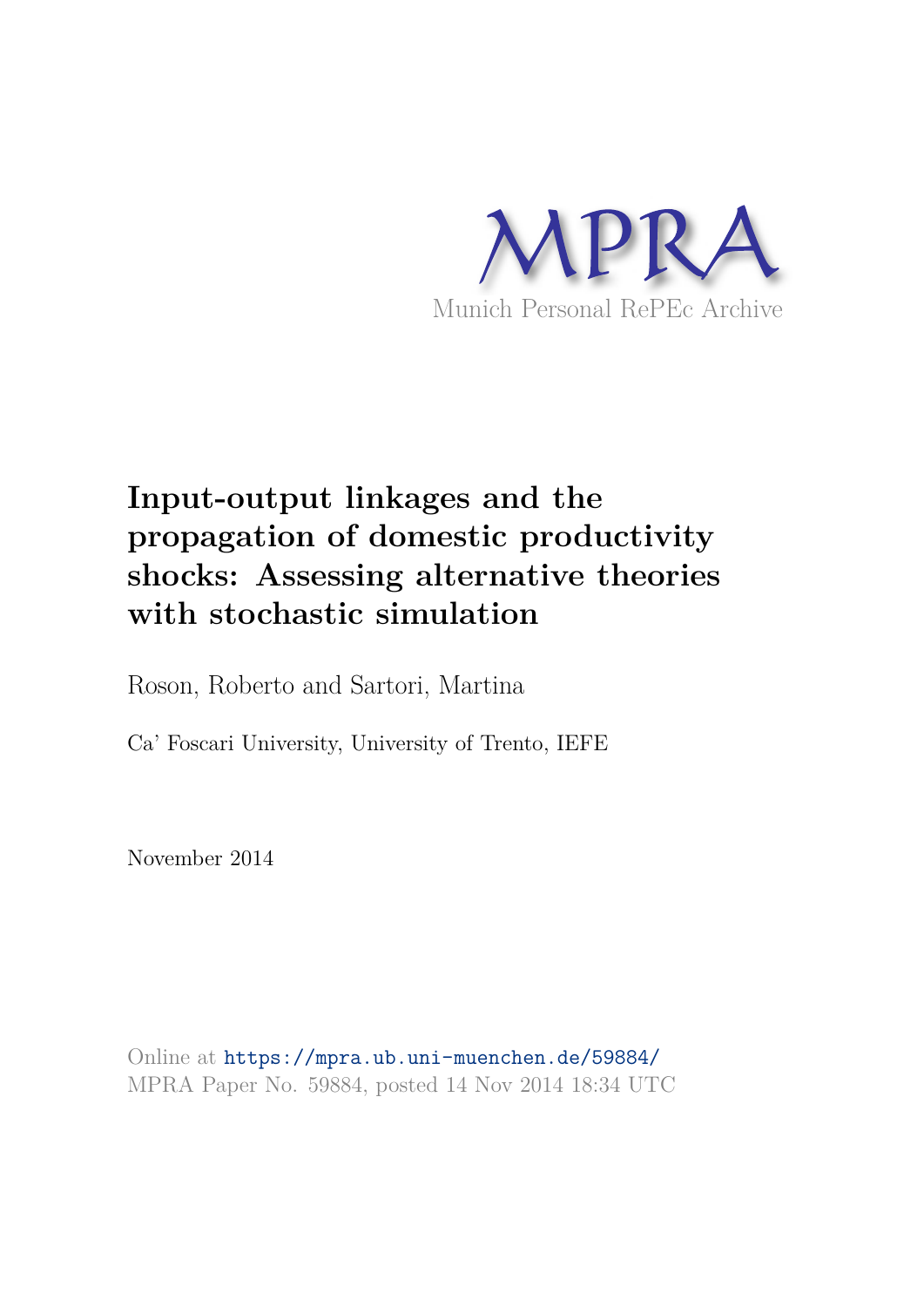

# **Input-output linkages and the propagation of domestic productivity shocks: Assessing alternative theories with stochastic simulation**

Roson, Roberto and Sartori, Martina

Ca' Foscari University, University of Trento, IEFE

November 2014

Online at https://mpra.ub.uni-muenchen.de/59884/ MPRA Paper No. 59884, posted 14 Nov 2014 18:34 UTC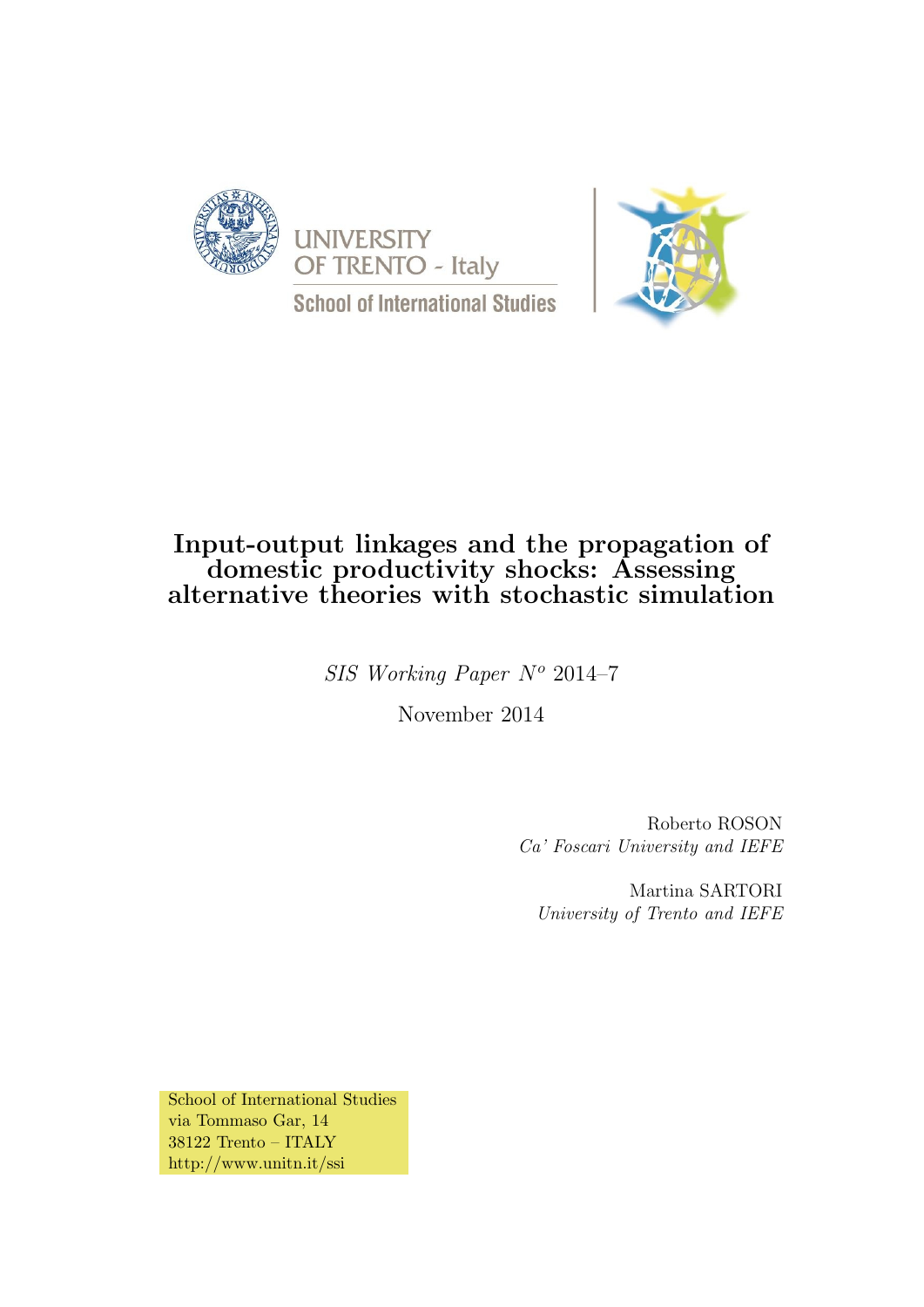





# Input-output linkages and the propagation of domestic productivity shocks: Assessing alternative theories with stochastic simulation

 $SIS$  Working Paper  $N^o$  2014–7

November 2014

Roberto ROSON Ca' Foscari University and IEFE

Martina SARTORI University of Trento and IEFE

School of International Studies via Tommaso Gar, 14 38122 Trento – ITALY http://www.unitn.it/ssi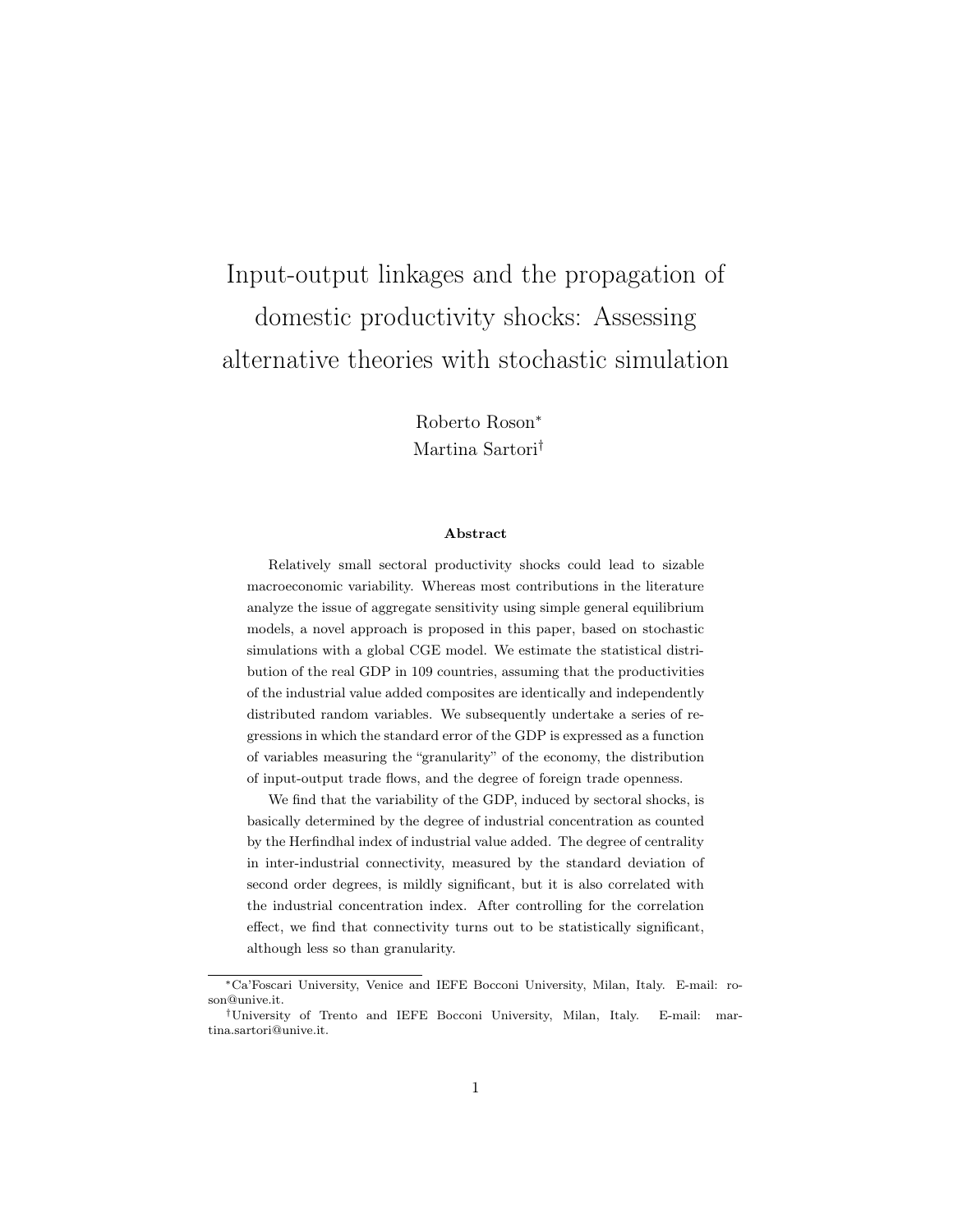# Input-output linkages and the propagation of domestic productivity shocks: Assessing alternative theories with stochastic simulation

Roberto Roson<sup>∗</sup> Martina Sartori†

#### Abstract

Relatively small sectoral productivity shocks could lead to sizable macroeconomic variability. Whereas most contributions in the literature analyze the issue of aggregate sensitivity using simple general equilibrium models, a novel approach is proposed in this paper, based on stochastic simulations with a global CGE model. We estimate the statistical distribution of the real GDP in 109 countries, assuming that the productivities of the industrial value added composites are identically and independently distributed random variables. We subsequently undertake a series of regressions in which the standard error of the GDP is expressed as a function of variables measuring the "granularity" of the economy, the distribution of input-output trade flows, and the degree of foreign trade openness.

We find that the variability of the GDP, induced by sectoral shocks, is basically determined by the degree of industrial concentration as counted by the Herfindhal index of industrial value added. The degree of centrality in inter-industrial connectivity, measured by the standard deviation of second order degrees, is mildly significant, but it is also correlated with the industrial concentration index. After controlling for the correlation effect, we find that connectivity turns out to be statistically significant, although less so than granularity.

<sup>∗</sup>Ca'Foscari University, Venice and IEFE Bocconi University, Milan, Italy. E-mail: roson@unive.it.

<sup>†</sup>University of Trento and IEFE Bocconi University, Milan, Italy. E-mail: martina.sartori@unive.it.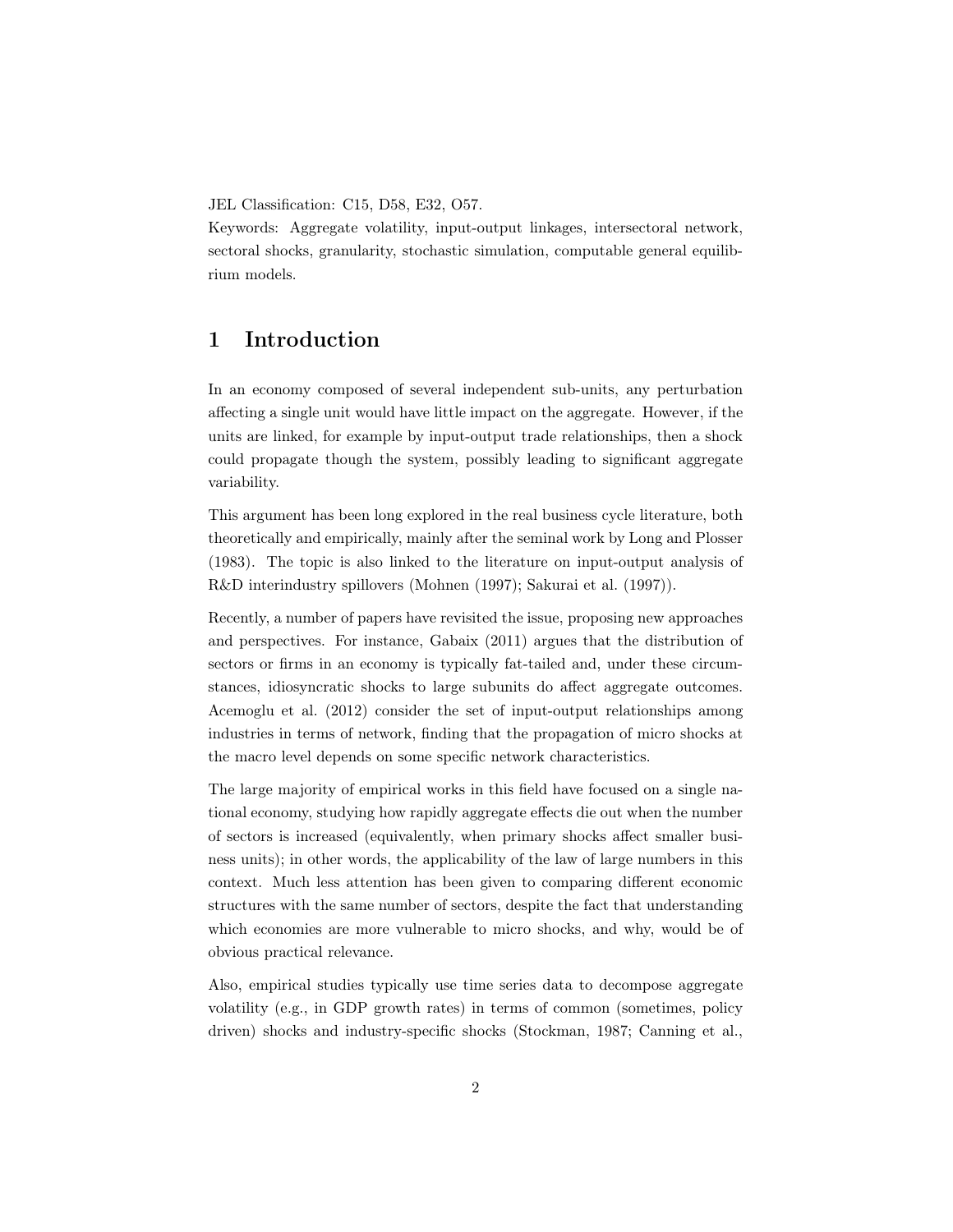JEL Classification: C15, D58, E32, O57.

Keywords: Aggregate volatility, input-output linkages, intersectoral network, sectoral shocks, granularity, stochastic simulation, computable general equilibrium models.

## 1 Introduction

In an economy composed of several independent sub-units, any perturbation affecting a single unit would have little impact on the aggregate. However, if the units are linked, for example by input-output trade relationships, then a shock could propagate though the system, possibly leading to significant aggregate variability.

This argument has been long explored in the real business cycle literature, both theoretically and empirically, mainly after the seminal work by Long and Plosser (1983). The topic is also linked to the literature on input-output analysis of R&D interindustry spillovers (Mohnen (1997); Sakurai et al. (1997)).

Recently, a number of papers have revisited the issue, proposing new approaches and perspectives. For instance, Gabaix (2011) argues that the distribution of sectors or firms in an economy is typically fat-tailed and, under these circumstances, idiosyncratic shocks to large subunits do affect aggregate outcomes. Acemoglu et al. (2012) consider the set of input-output relationships among industries in terms of network, finding that the propagation of micro shocks at the macro level depends on some specific network characteristics.

The large majority of empirical works in this field have focused on a single national economy, studying how rapidly aggregate effects die out when the number of sectors is increased (equivalently, when primary shocks affect smaller business units); in other words, the applicability of the law of large numbers in this context. Much less attention has been given to comparing different economic structures with the same number of sectors, despite the fact that understanding which economies are more vulnerable to micro shocks, and why, would be of obvious practical relevance.

Also, empirical studies typically use time series data to decompose aggregate volatility (e.g., in GDP growth rates) in terms of common (sometimes, policy driven) shocks and industry-specific shocks (Stockman, 1987; Canning et al.,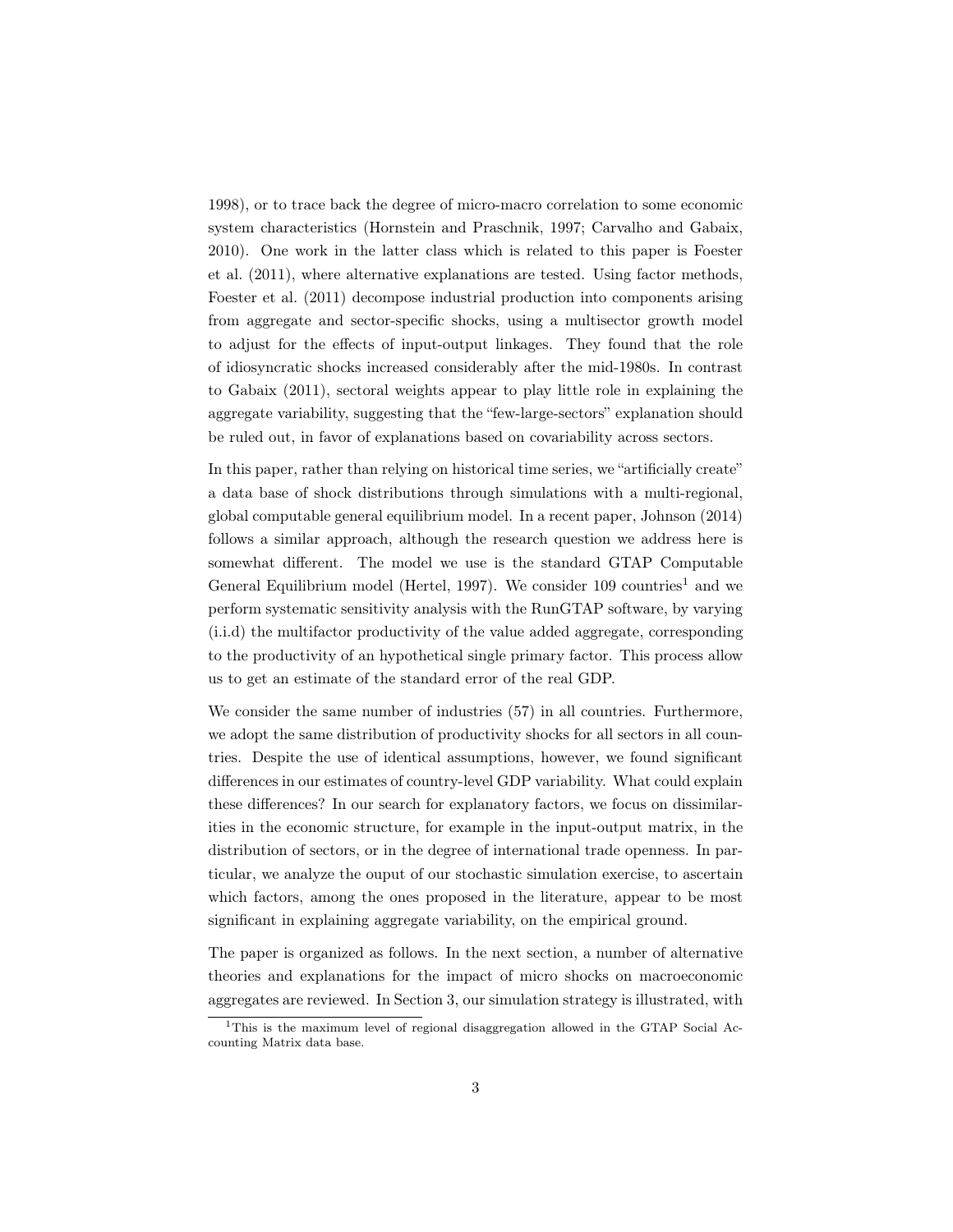1998), or to trace back the degree of micro-macro correlation to some economic system characteristics (Hornstein and Praschnik, 1997; Carvalho and Gabaix, 2010). One work in the latter class which is related to this paper is Foester et al. (2011), where alternative explanations are tested. Using factor methods, Foester et al. (2011) decompose industrial production into components arising from aggregate and sector-specific shocks, using a multisector growth model to adjust for the effects of input-output linkages. They found that the role of idiosyncratic shocks increased considerably after the mid-1980s. In contrast to Gabaix (2011), sectoral weights appear to play little role in explaining the aggregate variability, suggesting that the "few-large-sectors" explanation should be ruled out, in favor of explanations based on covariability across sectors.

In this paper, rather than relying on historical time series, we "artificially create" a data base of shock distributions through simulations with a multi-regional, global computable general equilibrium model. In a recent paper, Johnson (2014) follows a similar approach, although the research question we address here is somewhat different. The model we use is the standard GTAP Computable General Equilibrium model (Hertel, 1997). We consider 109 countries<sup>1</sup> and we perform systematic sensitivity analysis with the RunGTAP software, by varying (i.i.d) the multifactor productivity of the value added aggregate, corresponding to the productivity of an hypothetical single primary factor. This process allow us to get an estimate of the standard error of the real GDP.

We consider the same number of industries (57) in all countries. Furthermore, we adopt the same distribution of productivity shocks for all sectors in all countries. Despite the use of identical assumptions, however, we found significant differences in our estimates of country-level GDP variability. What could explain these differences? In our search for explanatory factors, we focus on dissimilarities in the economic structure, for example in the input-output matrix, in the distribution of sectors, or in the degree of international trade openness. In particular, we analyze the ouput of our stochastic simulation exercise, to ascertain which factors, among the ones proposed in the literature, appear to be most significant in explaining aggregate variability, on the empirical ground.

The paper is organized as follows. In the next section, a number of alternative theories and explanations for the impact of micro shocks on macroeconomic aggregates are reviewed. In Section 3, our simulation strategy is illustrated, with

<sup>&</sup>lt;sup>1</sup>This is the maximum level of regional disaggregation allowed in the GTAP Social Accounting Matrix data base.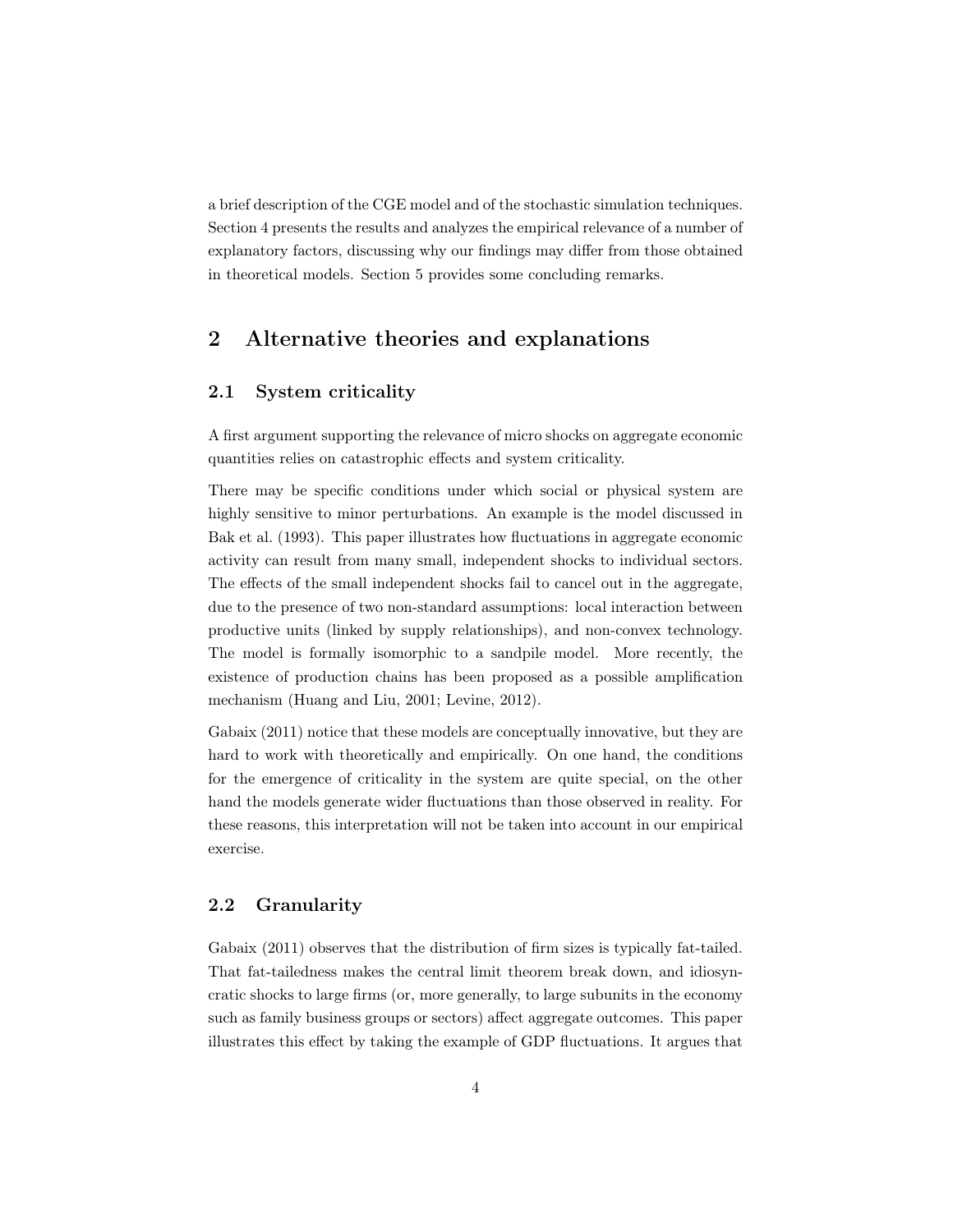a brief description of the CGE model and of the stochastic simulation techniques. Section 4 presents the results and analyzes the empirical relevance of a number of explanatory factors, discussing why our findings may differ from those obtained in theoretical models. Section 5 provides some concluding remarks.

## 2 Alternative theories and explanations

## 2.1 System criticality

A first argument supporting the relevance of micro shocks on aggregate economic quantities relies on catastrophic effects and system criticality.

There may be specific conditions under which social or physical system are highly sensitive to minor perturbations. An example is the model discussed in Bak et al. (1993). This paper illustrates how fluctuations in aggregate economic activity can result from many small, independent shocks to individual sectors. The effects of the small independent shocks fail to cancel out in the aggregate, due to the presence of two non-standard assumptions: local interaction between productive units (linked by supply relationships), and non-convex technology. The model is formally isomorphic to a sandpile model. More recently, the existence of production chains has been proposed as a possible amplification mechanism (Huang and Liu, 2001; Levine, 2012).

Gabaix (2011) notice that these models are conceptually innovative, but they are hard to work with theoretically and empirically. On one hand, the conditions for the emergence of criticality in the system are quite special, on the other hand the models generate wider fluctuations than those observed in reality. For these reasons, this interpretation will not be taken into account in our empirical exercise.

#### 2.2 Granularity

Gabaix (2011) observes that the distribution of firm sizes is typically fat-tailed. That fat-tailedness makes the central limit theorem break down, and idiosyncratic shocks to large firms (or, more generally, to large subunits in the economy such as family business groups or sectors) affect aggregate outcomes. This paper illustrates this effect by taking the example of GDP fluctuations. It argues that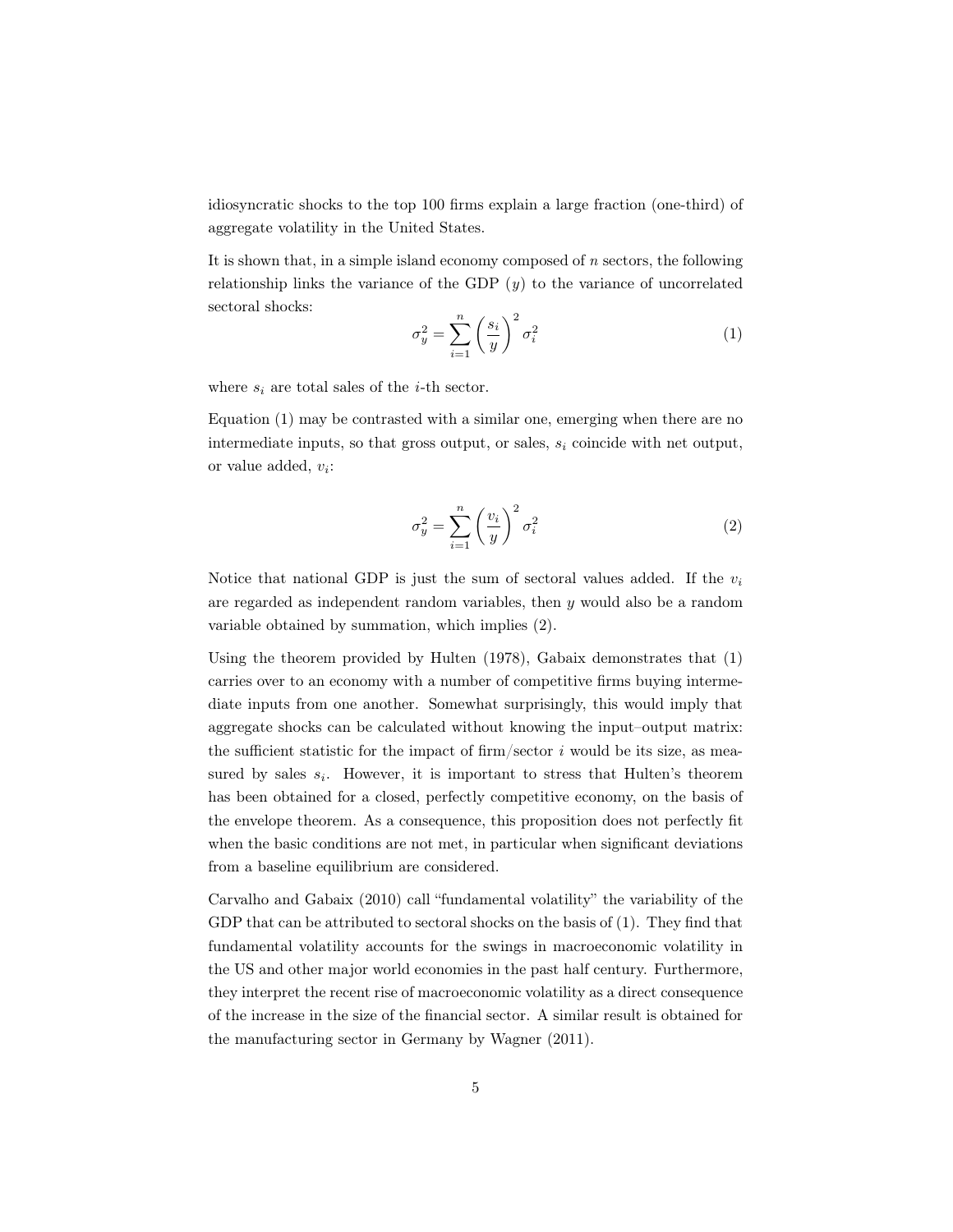idiosyncratic shocks to the top 100 firms explain a large fraction (one-third) of aggregate volatility in the United States.

It is shown that, in a simple island economy composed of  $n$  sectors, the following relationship links the variance of the GDP  $(y)$  to the variance of uncorrelated sectoral shocks:

$$
\sigma_y^2 = \sum_{i=1}^n \left(\frac{s_i}{y}\right)^2 \sigma_i^2 \tag{1}
$$

where  $s_i$  are total sales of the *i*-th sector.

Equation (1) may be contrasted with a similar one, emerging when there are no intermediate inputs, so that gross output, or sales,  $s_i$  coincide with net output, or value added,  $v_i$ :

$$
\sigma_y^2 = \sum_{i=1}^n \left(\frac{v_i}{y}\right)^2 \sigma_i^2 \tag{2}
$$

Notice that national GDP is just the sum of sectoral values added. If the  $v_i$ are regarded as independent random variables, then  $\eta$  would also be a random variable obtained by summation, which implies (2).

Using the theorem provided by Hulten (1978), Gabaix demonstrates that (1) carries over to an economy with a number of competitive firms buying intermediate inputs from one another. Somewhat surprisingly, this would imply that aggregate shocks can be calculated without knowing the input–output matrix: the sufficient statistic for the impact of firm/sector  $i$  would be its size, as measured by sales  $s_i$ . However, it is important to stress that Hulten's theorem has been obtained for a closed, perfectly competitive economy, on the basis of the envelope theorem. As a consequence, this proposition does not perfectly fit when the basic conditions are not met, in particular when significant deviations from a baseline equilibrium are considered.

Carvalho and Gabaix (2010) call "fundamental volatility" the variability of the GDP that can be attributed to sectoral shocks on the basis of (1). They find that fundamental volatility accounts for the swings in macroeconomic volatility in the US and other major world economies in the past half century. Furthermore, they interpret the recent rise of macroeconomic volatility as a direct consequence of the increase in the size of the financial sector. A similar result is obtained for the manufacturing sector in Germany by Wagner (2011).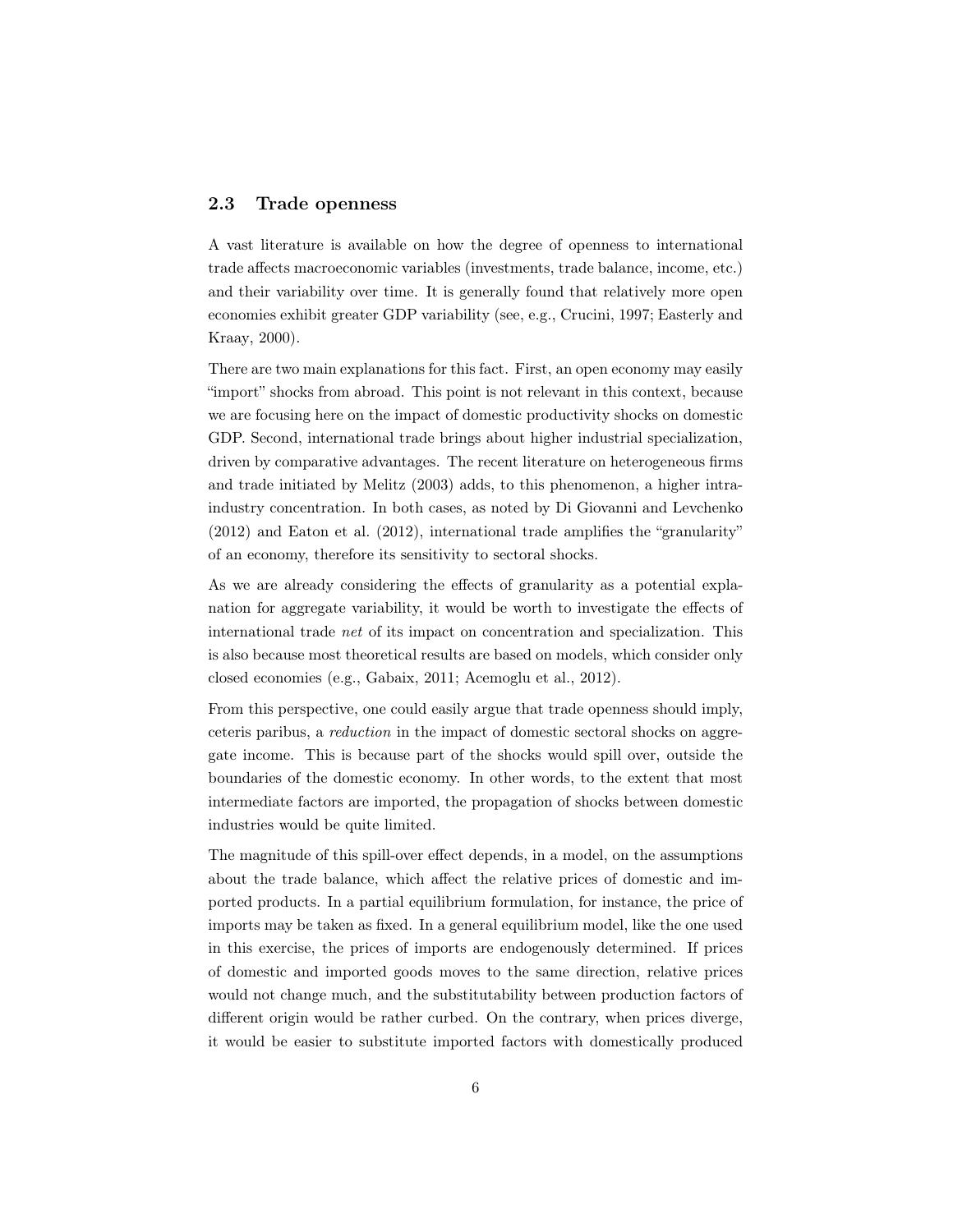#### 2.3 Trade openness

A vast literature is available on how the degree of openness to international trade affects macroeconomic variables (investments, trade balance, income, etc.) and their variability over time. It is generally found that relatively more open economies exhibit greater GDP variability (see, e.g., Crucini, 1997; Easterly and Kraay, 2000).

There are two main explanations for this fact. First, an open economy may easily "import" shocks from abroad. This point is not relevant in this context, because we are focusing here on the impact of domestic productivity shocks on domestic GDP. Second, international trade brings about higher industrial specialization, driven by comparative advantages. The recent literature on heterogeneous firms and trade initiated by Melitz (2003) adds, to this phenomenon, a higher intraindustry concentration. In both cases, as noted by Di Giovanni and Levchenko (2012) and Eaton et al. (2012), international trade amplifies the "granularity" of an economy, therefore its sensitivity to sectoral shocks.

As we are already considering the effects of granularity as a potential explanation for aggregate variability, it would be worth to investigate the effects of international trade net of its impact on concentration and specialization. This is also because most theoretical results are based on models, which consider only closed economies (e.g., Gabaix, 2011; Acemoglu et al., 2012).

From this perspective, one could easily argue that trade openness should imply, ceteris paribus, a reduction in the impact of domestic sectoral shocks on aggregate income. This is because part of the shocks would spill over, outside the boundaries of the domestic economy. In other words, to the extent that most intermediate factors are imported, the propagation of shocks between domestic industries would be quite limited.

The magnitude of this spill-over effect depends, in a model, on the assumptions about the trade balance, which affect the relative prices of domestic and imported products. In a partial equilibrium formulation, for instance, the price of imports may be taken as fixed. In a general equilibrium model, like the one used in this exercise, the prices of imports are endogenously determined. If prices of domestic and imported goods moves to the same direction, relative prices would not change much, and the substitutability between production factors of different origin would be rather curbed. On the contrary, when prices diverge, it would be easier to substitute imported factors with domestically produced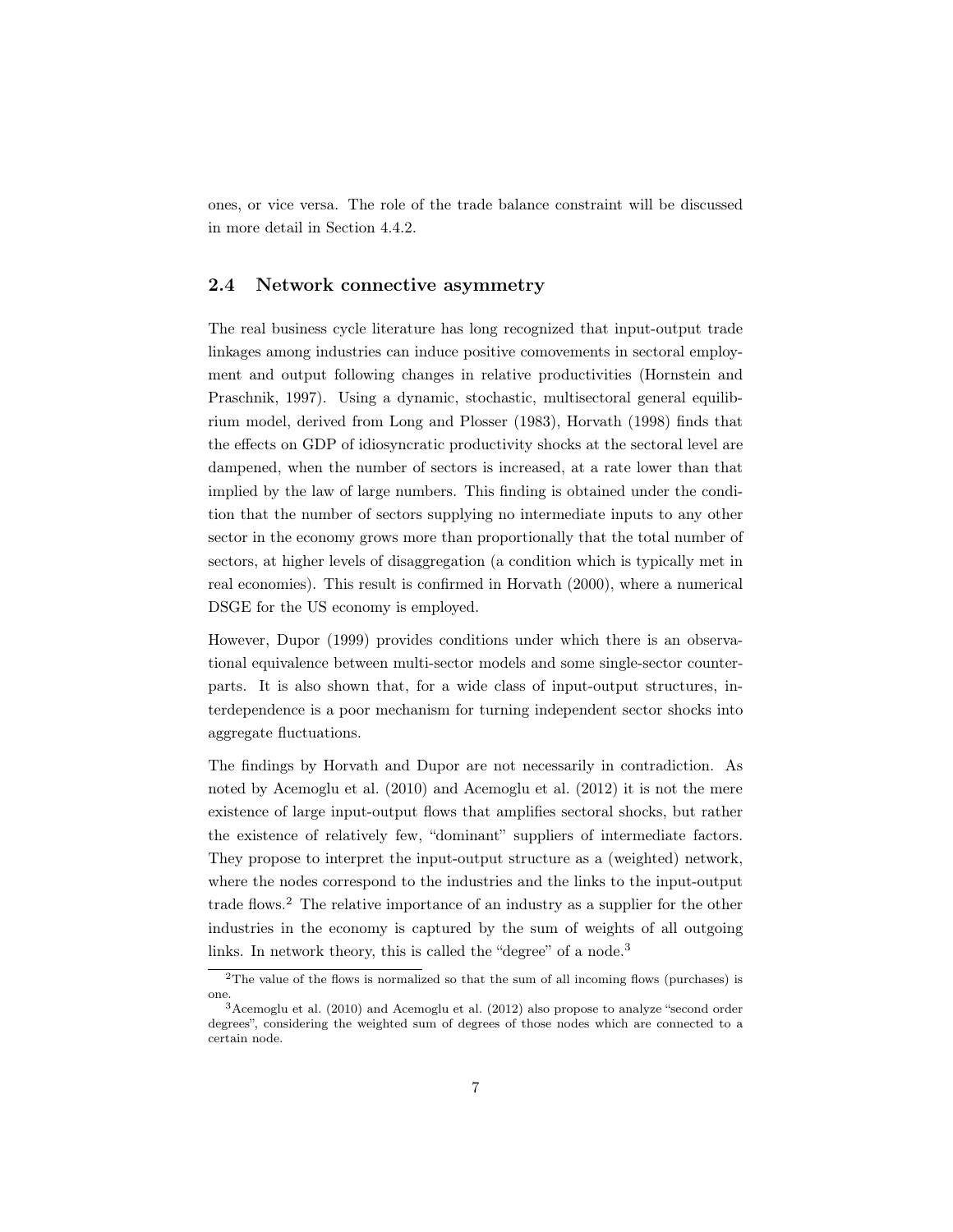ones, or vice versa. The role of the trade balance constraint will be discussed in more detail in Section 4.4.2.

### 2.4 Network connective asymmetry

The real business cycle literature has long recognized that input-output trade linkages among industries can induce positive comovements in sectoral employment and output following changes in relative productivities (Hornstein and Praschnik, 1997). Using a dynamic, stochastic, multisectoral general equilibrium model, derived from Long and Plosser (1983), Horvath (1998) finds that the effects on GDP of idiosyncratic productivity shocks at the sectoral level are dampened, when the number of sectors is increased, at a rate lower than that implied by the law of large numbers. This finding is obtained under the condition that the number of sectors supplying no intermediate inputs to any other sector in the economy grows more than proportionally that the total number of sectors, at higher levels of disaggregation (a condition which is typically met in real economies). This result is confirmed in Horvath (2000), where a numerical DSGE for the US economy is employed.

However, Dupor (1999) provides conditions under which there is an observational equivalence between multi-sector models and some single-sector counterparts. It is also shown that, for a wide class of input-output structures, interdependence is a poor mechanism for turning independent sector shocks into aggregate fluctuations.

The findings by Horvath and Dupor are not necessarily in contradiction. As noted by Acemoglu et al. (2010) and Acemoglu et al. (2012) it is not the mere existence of large input-output flows that amplifies sectoral shocks, but rather the existence of relatively few, "dominant" suppliers of intermediate factors. They propose to interpret the input-output structure as a (weighted) network, where the nodes correspond to the industries and the links to the input-output trade flows.<sup>2</sup> The relative importance of an industry as a supplier for the other industries in the economy is captured by the sum of weights of all outgoing links. In network theory, this is called the "degree" of a node.<sup>3</sup>

 $\overline{a^2}$ The value of the flows is normalized so that the sum of all incoming flows (purchases) is one.

<sup>3</sup> Acemoglu et al. (2010) and Acemoglu et al. (2012) also propose to analyze "second order degrees", considering the weighted sum of degrees of those nodes which are connected to a certain node.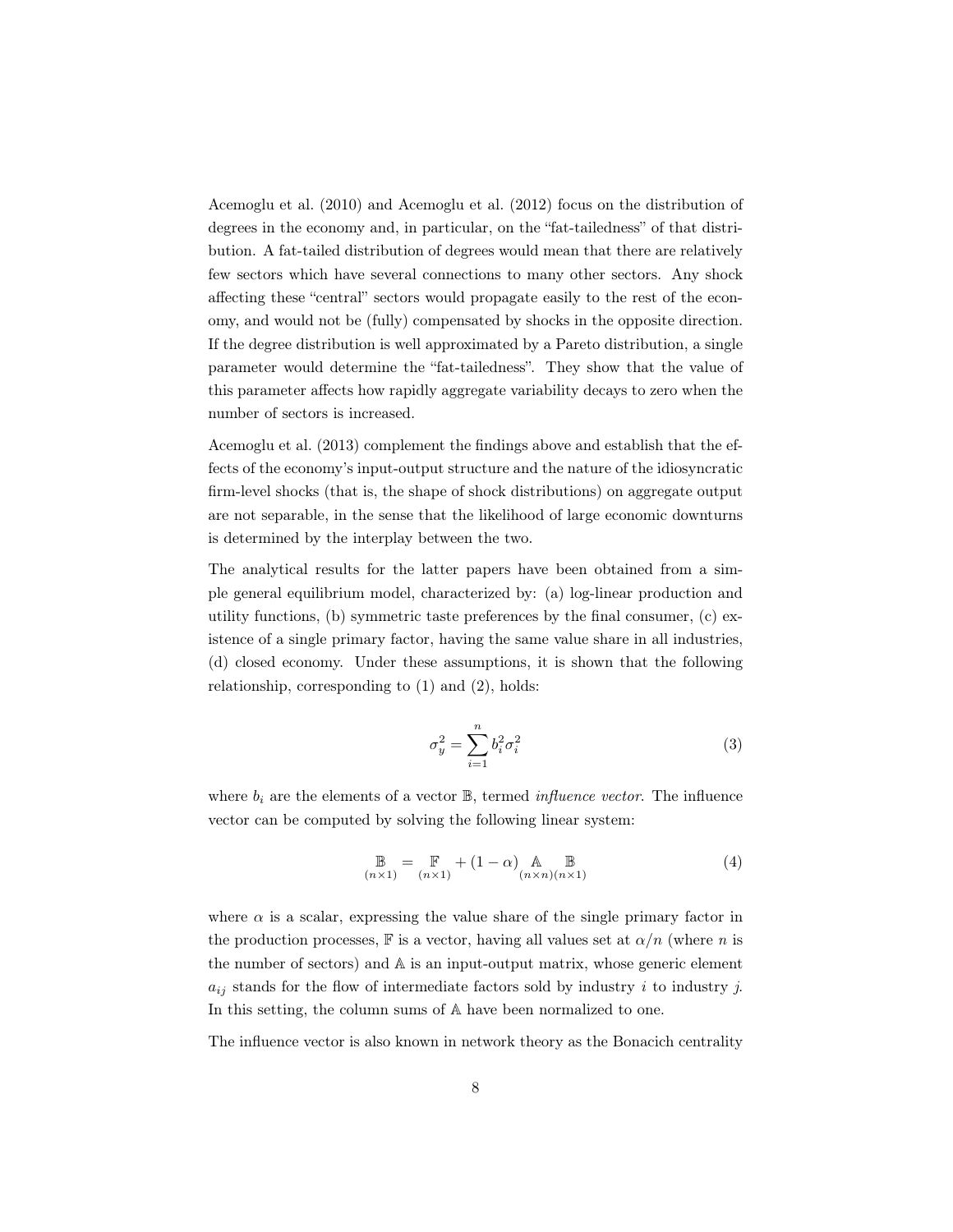Acemoglu et al. (2010) and Acemoglu et al. (2012) focus on the distribution of degrees in the economy and, in particular, on the "fat-tailedness" of that distribution. A fat-tailed distribution of degrees would mean that there are relatively few sectors which have several connections to many other sectors. Any shock affecting these "central" sectors would propagate easily to the rest of the economy, and would not be (fully) compensated by shocks in the opposite direction. If the degree distribution is well approximated by a Pareto distribution, a single parameter would determine the "fat-tailedness". They show that the value of this parameter affects how rapidly aggregate variability decays to zero when the number of sectors is increased.

Acemoglu et al. (2013) complement the findings above and establish that the effects of the economy's input-output structure and the nature of the idiosyncratic firm-level shocks (that is, the shape of shock distributions) on aggregate output are not separable, in the sense that the likelihood of large economic downturns is determined by the interplay between the two.

The analytical results for the latter papers have been obtained from a simple general equilibrium model, characterized by: (a) log-linear production and utility functions, (b) symmetric taste preferences by the final consumer, (c) existence of a single primary factor, having the same value share in all industries, (d) closed economy. Under these assumptions, it is shown that the following relationship, corresponding to (1) and (2), holds:

$$
\sigma_y^2 = \sum_{i=1}^n b_i^2 \sigma_i^2 \tag{3}
$$

where  $b_i$  are the elements of a vector  $\mathbb{B}$ , termed *influence vector*. The influence vector can be computed by solving the following linear system:

$$
\mathbb{B}_{(n\times 1)} = \mathbb{F}_{(n\times 1)} + (1 - \alpha) \mathbb{A}_{(n\times n)(n\times 1)} \tag{4}
$$

where  $\alpha$  is a scalar, expressing the value share of the single primary factor in the production processes, F is a vector, having all values set at  $\alpha/n$  (where n is the number of sectors) and A is an input-output matrix, whose generic element  $a_{ij}$  stands for the flow of intermediate factors sold by industry i to industry j. In this setting, the column sums of A have been normalized to one.

The influence vector is also known in network theory as the Bonacich centrality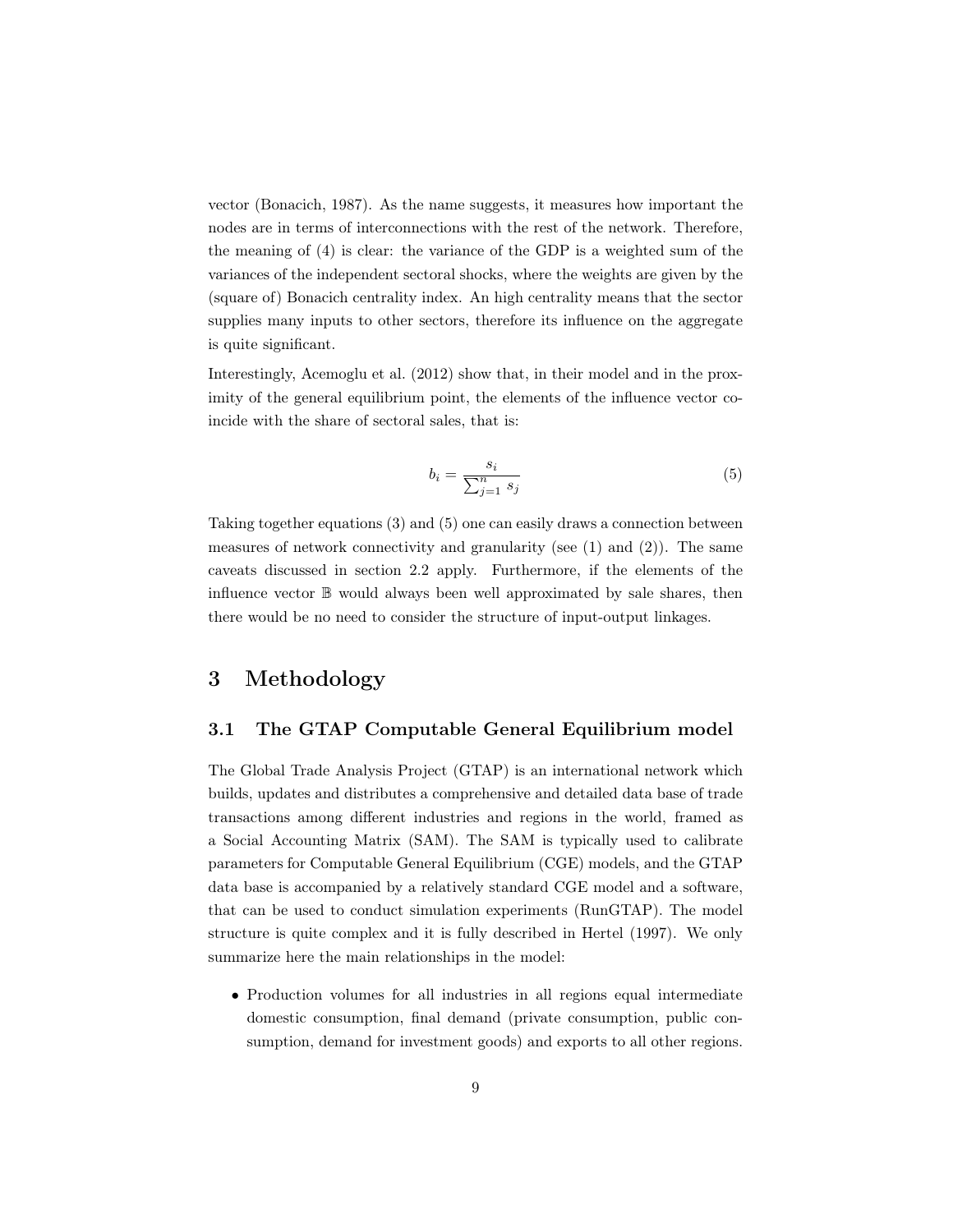vector (Bonacich, 1987). As the name suggests, it measures how important the nodes are in terms of interconnections with the rest of the network. Therefore, the meaning of (4) is clear: the variance of the GDP is a weighted sum of the variances of the independent sectoral shocks, where the weights are given by the (square of) Bonacich centrality index. An high centrality means that the sector supplies many inputs to other sectors, therefore its influence on the aggregate is quite significant.

Interestingly, Acemoglu et al. (2012) show that, in their model and in the proximity of the general equilibrium point, the elements of the influence vector coincide with the share of sectoral sales, that is:

$$
b_i = \frac{s_i}{\sum_{j=1}^n s_j} \tag{5}
$$

Taking together equations (3) and (5) one can easily draws a connection between measures of network connectivity and granularity (see (1) and (2)). The same caveats discussed in section 2.2 apply. Furthermore, if the elements of the influence vector B would always been well approximated by sale shares, then there would be no need to consider the structure of input-output linkages.

# 3 Methodology

## 3.1 The GTAP Computable General Equilibrium model

The Global Trade Analysis Project (GTAP) is an international network which builds, updates and distributes a comprehensive and detailed data base of trade transactions among different industries and regions in the world, framed as a Social Accounting Matrix (SAM). The SAM is typically used to calibrate parameters for Computable General Equilibrium (CGE) models, and the GTAP data base is accompanied by a relatively standard CGE model and a software, that can be used to conduct simulation experiments (RunGTAP). The model structure is quite complex and it is fully described in Hertel (1997). We only summarize here the main relationships in the model:

• Production volumes for all industries in all regions equal intermediate domestic consumption, final demand (private consumption, public consumption, demand for investment goods) and exports to all other regions.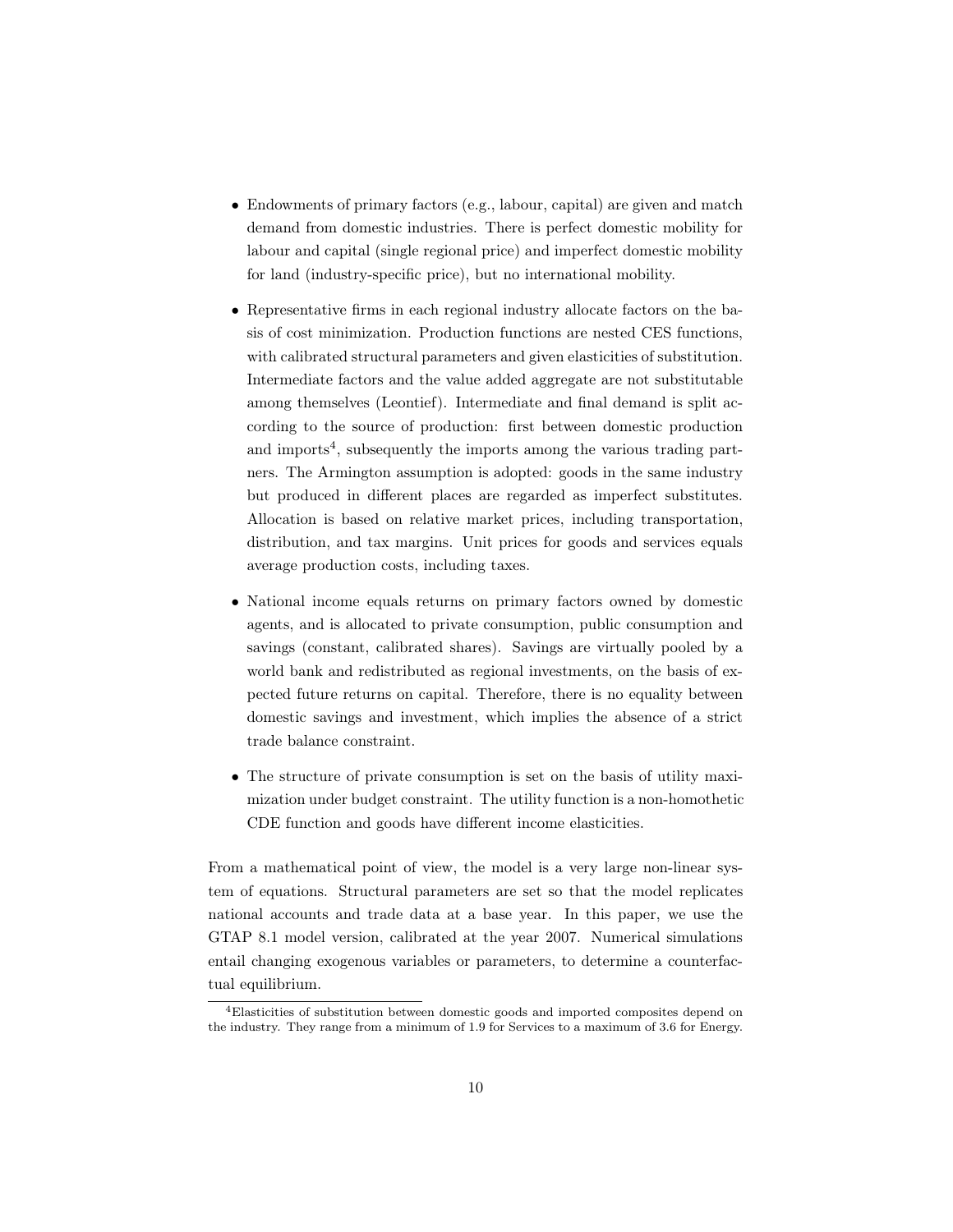- Endowments of primary factors (e.g., labour, capital) are given and match demand from domestic industries. There is perfect domestic mobility for labour and capital (single regional price) and imperfect domestic mobility for land (industry-specific price), but no international mobility.
- Representative firms in each regional industry allocate factors on the basis of cost minimization. Production functions are nested CES functions, with calibrated structural parameters and given elasticities of substitution. Intermediate factors and the value added aggregate are not substitutable among themselves (Leontief). Intermediate and final demand is split according to the source of production: first between domestic production and imports<sup>4</sup>, subsequently the imports among the various trading partners. The Armington assumption is adopted: goods in the same industry but produced in different places are regarded as imperfect substitutes. Allocation is based on relative market prices, including transportation, distribution, and tax margins. Unit prices for goods and services equals average production costs, including taxes.
- National income equals returns on primary factors owned by domestic agents, and is allocated to private consumption, public consumption and savings (constant, calibrated shares). Savings are virtually pooled by a world bank and redistributed as regional investments, on the basis of expected future returns on capital. Therefore, there is no equality between domestic savings and investment, which implies the absence of a strict trade balance constraint.
- The structure of private consumption is set on the basis of utility maximization under budget constraint. The utility function is a non-homothetic CDE function and goods have different income elasticities.

From a mathematical point of view, the model is a very large non-linear system of equations. Structural parameters are set so that the model replicates national accounts and trade data at a base year. In this paper, we use the GTAP 8.1 model version, calibrated at the year 2007. Numerical simulations entail changing exogenous variables or parameters, to determine a counterfactual equilibrium.

<sup>4</sup>Elasticities of substitution between domestic goods and imported composites depend on the industry. They range from a minimum of 1.9 for Services to a maximum of 3.6 for Energy.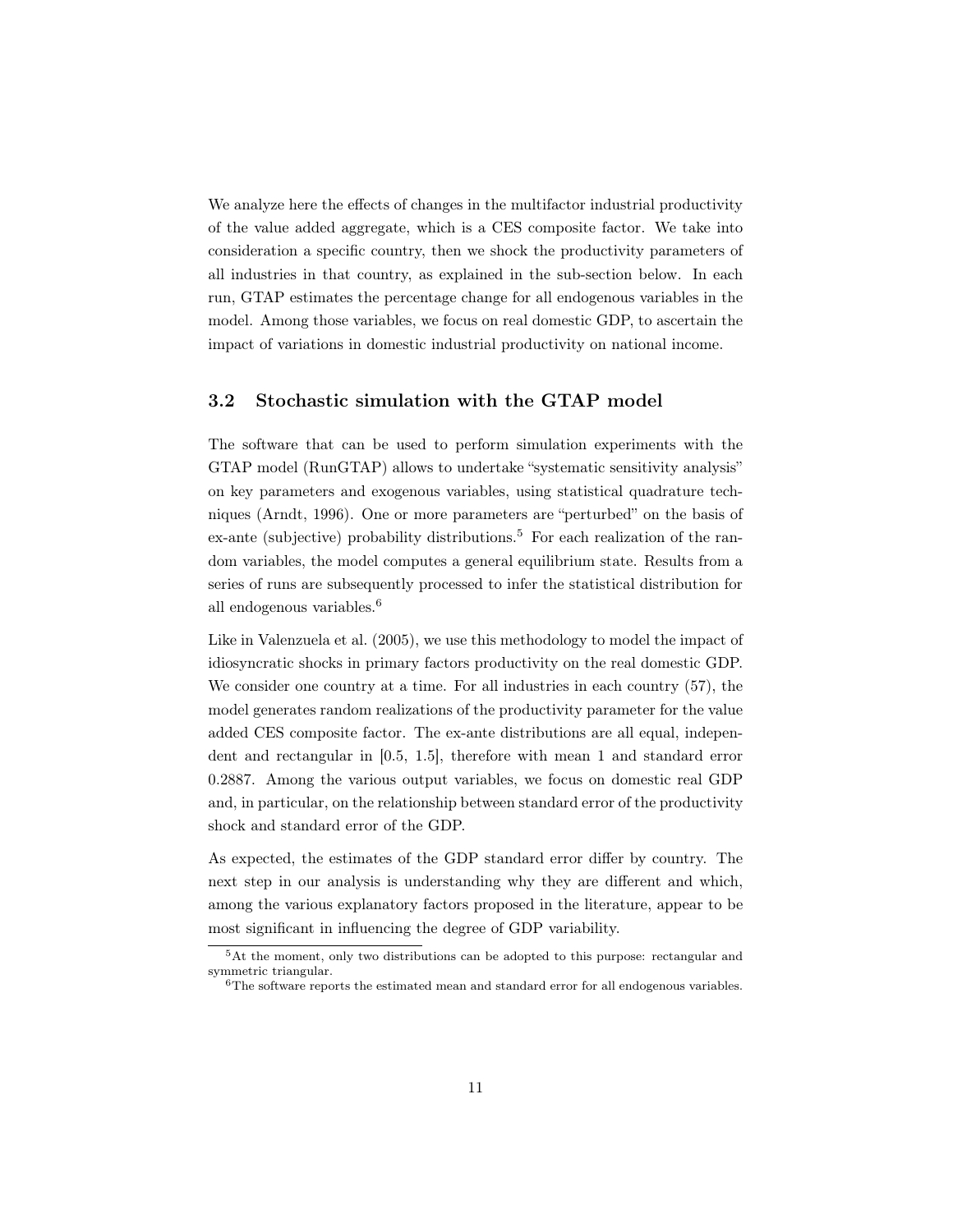We analyze here the effects of changes in the multifactor industrial productivity of the value added aggregate, which is a CES composite factor. We take into consideration a specific country, then we shock the productivity parameters of all industries in that country, as explained in the sub-section below. In each run, GTAP estimates the percentage change for all endogenous variables in the model. Among those variables, we focus on real domestic GDP, to ascertain the impact of variations in domestic industrial productivity on national income.

## 3.2 Stochastic simulation with the GTAP model

The software that can be used to perform simulation experiments with the GTAP model (RunGTAP) allows to undertake "systematic sensitivity analysis" on key parameters and exogenous variables, using statistical quadrature techniques (Arndt, 1996). One or more parameters are "perturbed" on the basis of  $ex$ -ante (subjective) probability distributions.<sup>5</sup> For each realization of the random variables, the model computes a general equilibrium state. Results from a series of runs are subsequently processed to infer the statistical distribution for all endogenous variables.<sup>6</sup>

Like in Valenzuela et al. (2005), we use this methodology to model the impact of idiosyncratic shocks in primary factors productivity on the real domestic GDP. We consider one country at a time. For all industries in each country (57), the model generates random realizations of the productivity parameter for the value added CES composite factor. The ex-ante distributions are all equal, independent and rectangular in [0.5, 1.5], therefore with mean 1 and standard error 0.2887. Among the various output variables, we focus on domestic real GDP and, in particular, on the relationship between standard error of the productivity shock and standard error of the GDP.

As expected, the estimates of the GDP standard error differ by country. The next step in our analysis is understanding why they are different and which, among the various explanatory factors proposed in the literature, appear to be most significant in influencing the degree of GDP variability.

<sup>5</sup>At the moment, only two distributions can be adopted to this purpose: rectangular and symmetric triangular.

 $6$ The software reports the estimated mean and standard error for all endogenous variables.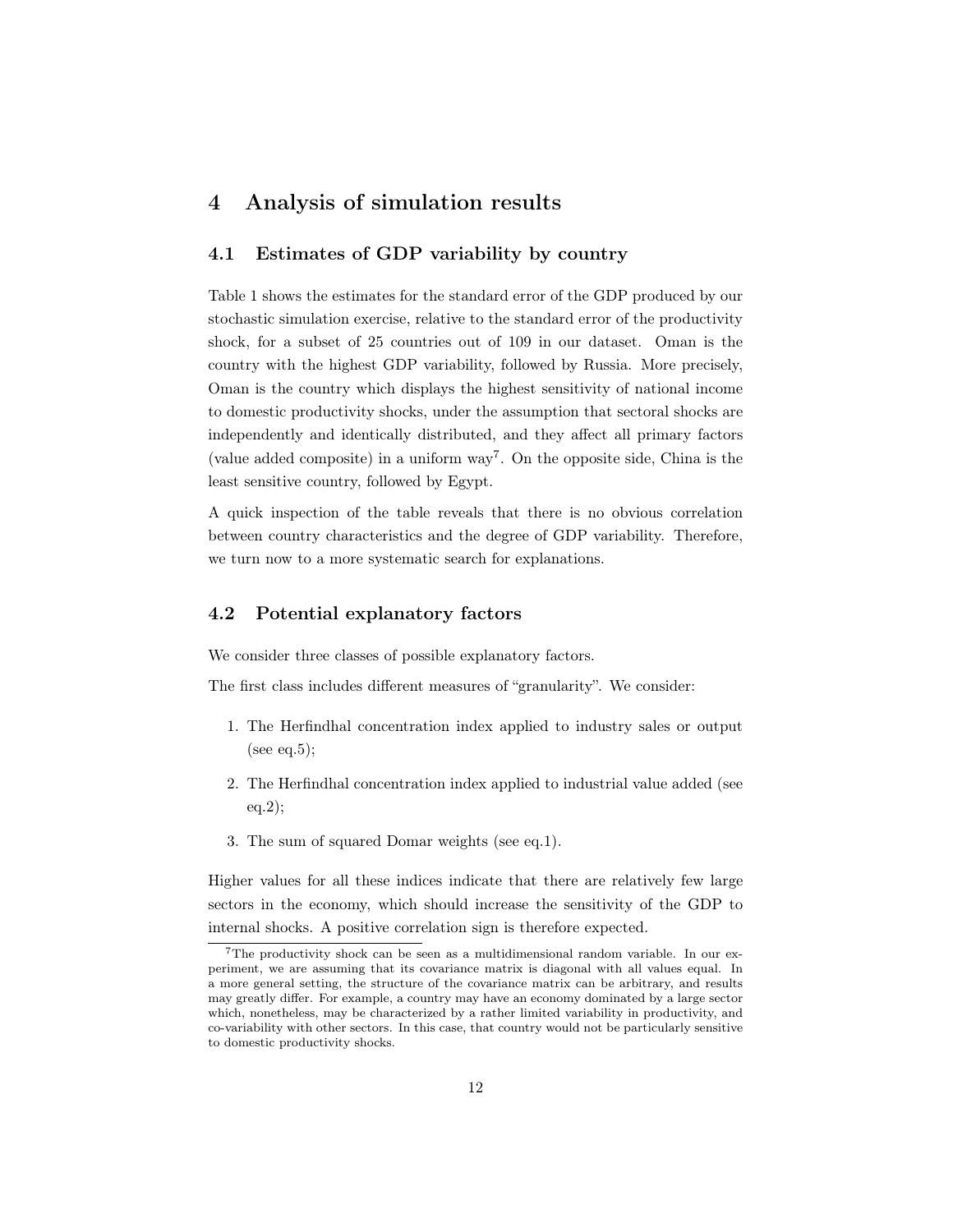## 4 Analysis of simulation results

#### 4.1 Estimates of GDP variability by country

Table 1 shows the estimates for the standard error of the GDP produced by our stochastic simulation exercise, relative to the standard error of the productivity shock, for a subset of 25 countries out of 109 in our dataset. Oman is the country with the highest GDP variability, followed by Russia. More precisely, Oman is the country which displays the highest sensitivity of national income to domestic productivity shocks, under the assumption that sectoral shocks are independently and identically distributed, and they affect all primary factors (value added composite) in a uniform way<sup>7</sup> . On the opposite side, China is the least sensitive country, followed by Egypt.

A quick inspection of the table reveals that there is no obvious correlation between country characteristics and the degree of GDP variability. Therefore, we turn now to a more systematic search for explanations.

## 4.2 Potential explanatory factors

We consider three classes of possible explanatory factors.

The first class includes different measures of "granularity". We consider:

- 1. The Herfindhal concentration index applied to industry sales or output (see eq.5);
- 2. The Herfindhal concentration index applied to industrial value added (see eq.2);
- 3. The sum of squared Domar weights (see eq.1).

Higher values for all these indices indicate that there are relatively few large sectors in the economy, which should increase the sensitivity of the GDP to internal shocks. A positive correlation sign is therefore expected.

<sup>7</sup>The productivity shock can be seen as a multidimensional random variable. In our experiment, we are assuming that its covariance matrix is diagonal with all values equal. In a more general setting, the structure of the covariance matrix can be arbitrary, and results may greatly differ. For example, a country may have an economy dominated by a large sector which, nonetheless, may be characterized by a rather limited variability in productivity, and co-variability with other sectors. In this case, that country would not be particularly sensitive to domestic productivity shocks.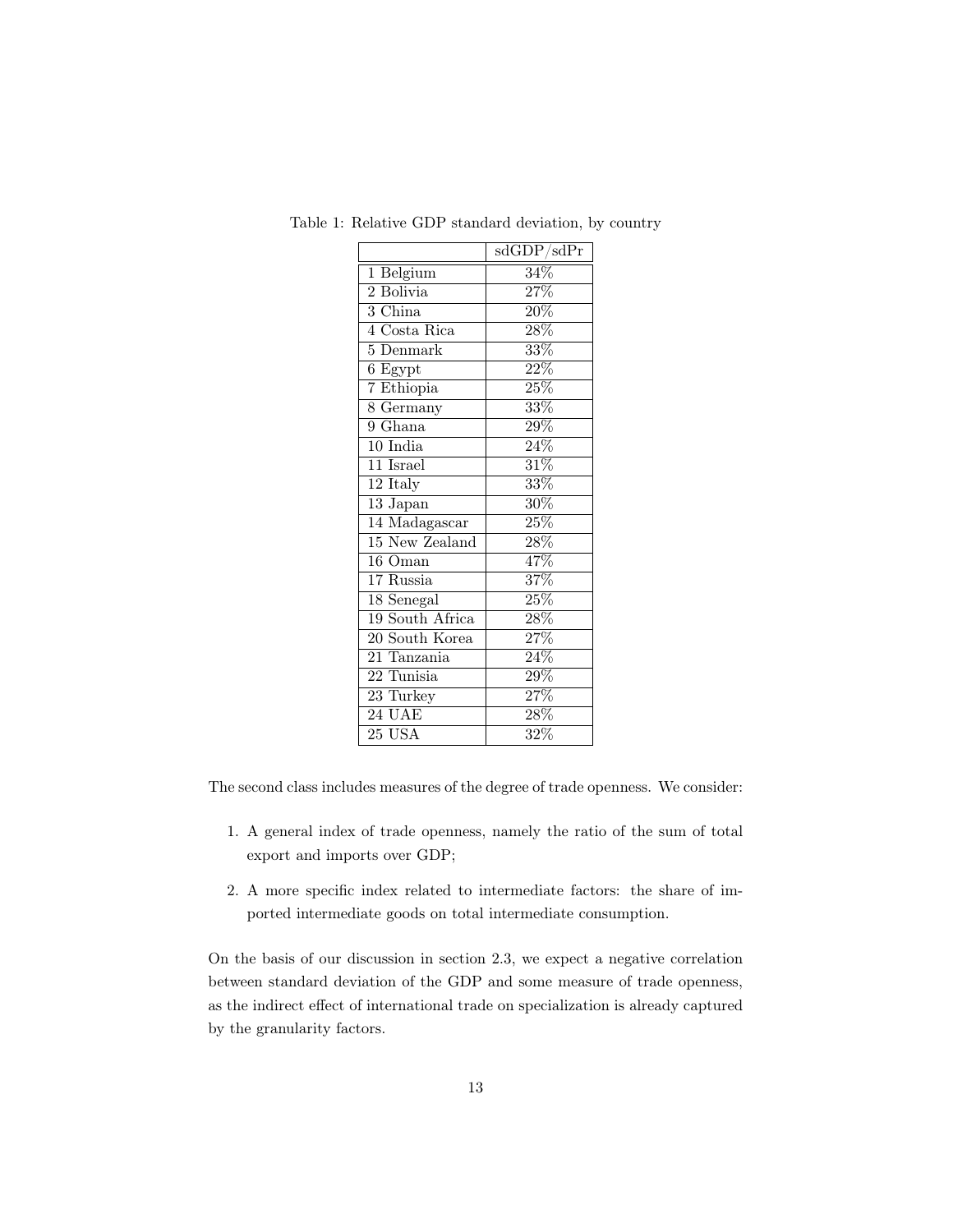|                         | sdGDP/sdPr        |
|-------------------------|-------------------|
| Belgium<br>1            | $34\%$            |
| 2 Bolivia               | 27%               |
| $3 \text{ China}$       | $\overline{20\%}$ |
| 4 Costa Rica            | $\overline{28\%}$ |
| $5$ Denmark             | $\overline{33\%}$ |
| 6 Egypt                 | $22\%$            |
| 7 Ethiopia              | $25\%$            |
| $8$ Germany             | $33\%$            |
| 9 Ghana                 | $\overline{29\%}$ |
| $10$ India              | $\overline{24\%}$ |
| $11$ Israel             | $\overline{31\%}$ |
| 12 Italy                | $\overline{33\%}$ |
| 13 Japan                | $\overline{30\%}$ |
| 14 Madagascar           | $25\%$            |
| 15 New Zealand          | $\overline{28\%}$ |
| $\overline{16}$ Oman    | 47%               |
| $17$ Russia             | $\overline{37\%}$ |
| $\overline{18}$ Senegal | $\overline{25\%}$ |
| 19 South Africa         | $\overline{28\%}$ |
| 20 South Korea          | 27%               |
| 21 Tanzania             | 24%               |
| 22 Tunisia              | $\overline{29\%}$ |
| 23 Turkey               | $\overline{27\%}$ |
| $24 \overline{UAE}$     | $\overline{28\%}$ |
| $25$ USA                | $\overline{32\%}$ |

Table 1: Relative GDP standard deviation, by country

The second class includes measures of the degree of trade openness. We consider:

- 1. A general index of trade openness, namely the ratio of the sum of total export and imports over GDP;
- 2. A more specific index related to intermediate factors: the share of imported intermediate goods on total intermediate consumption.

On the basis of our discussion in section 2.3, we expect a negative correlation between standard deviation of the GDP and some measure of trade openness, as the indirect effect of international trade on specialization is already captured by the granularity factors.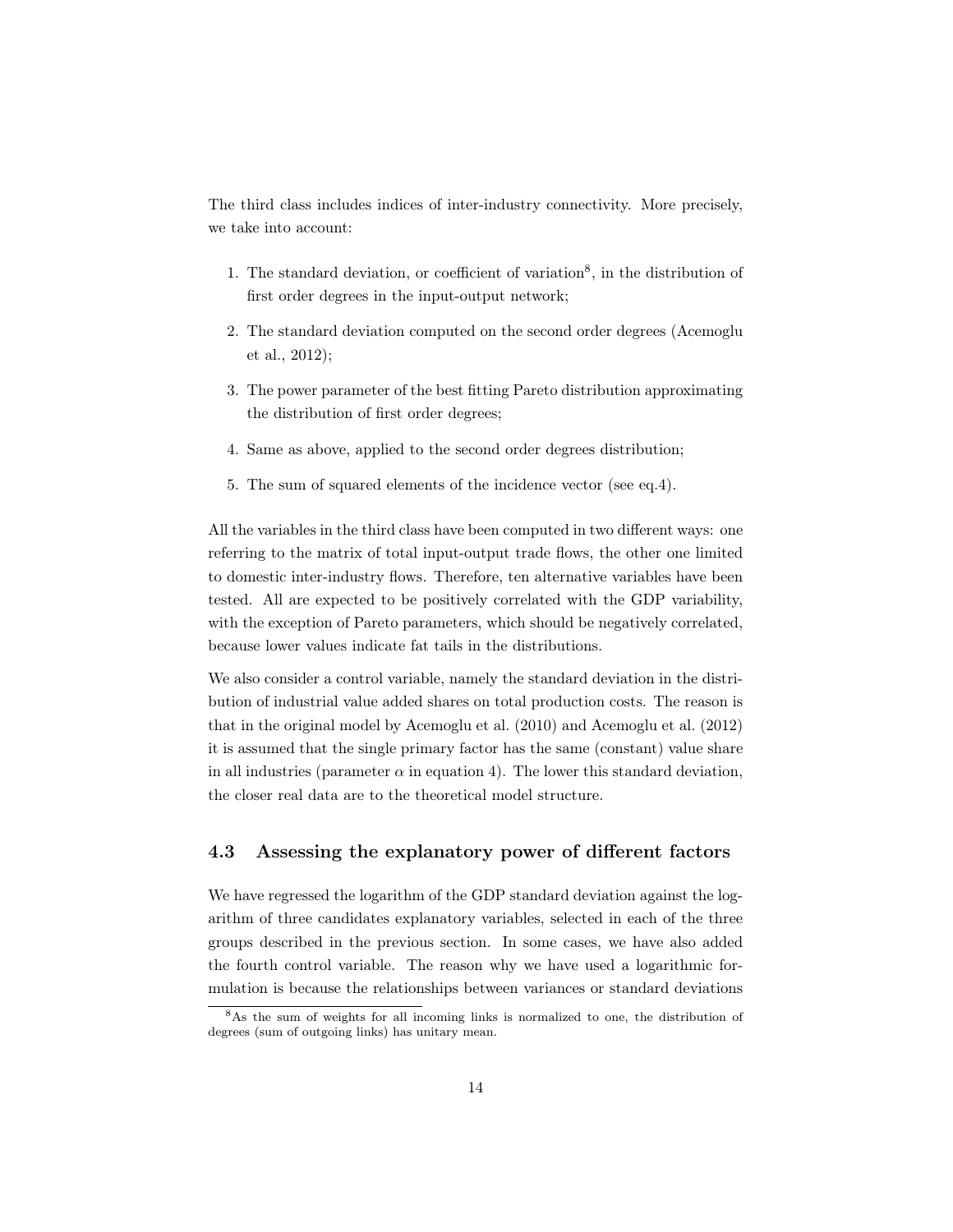The third class includes indices of inter-industry connectivity. More precisely, we take into account:

- 1. The standard deviation, or coefficient of variation<sup>8</sup>, in the distribution of first order degrees in the input-output network;
- 2. The standard deviation computed on the second order degrees (Acemoglu et al., 2012);
- 3. The power parameter of the best fitting Pareto distribution approximating the distribution of first order degrees;
- 4. Same as above, applied to the second order degrees distribution;
- 5. The sum of squared elements of the incidence vector (see eq.4).

All the variables in the third class have been computed in two different ways: one referring to the matrix of total input-output trade flows, the other one limited to domestic inter-industry flows. Therefore, ten alternative variables have been tested. All are expected to be positively correlated with the GDP variability, with the exception of Pareto parameters, which should be negatively correlated, because lower values indicate fat tails in the distributions.

We also consider a control variable, namely the standard deviation in the distribution of industrial value added shares on total production costs. The reason is that in the original model by Acemoglu et al. (2010) and Acemoglu et al. (2012) it is assumed that the single primary factor has the same (constant) value share in all industries (parameter  $\alpha$  in equation 4). The lower this standard deviation, the closer real data are to the theoretical model structure.

### 4.3 Assessing the explanatory power of different factors

We have regressed the logarithm of the GDP standard deviation against the logarithm of three candidates explanatory variables, selected in each of the three groups described in the previous section. In some cases, we have also added the fourth control variable. The reason why we have used a logarithmic formulation is because the relationships between variances or standard deviations

<sup>8</sup>As the sum of weights for all incoming links is normalized to one, the distribution of degrees (sum of outgoing links) has unitary mean.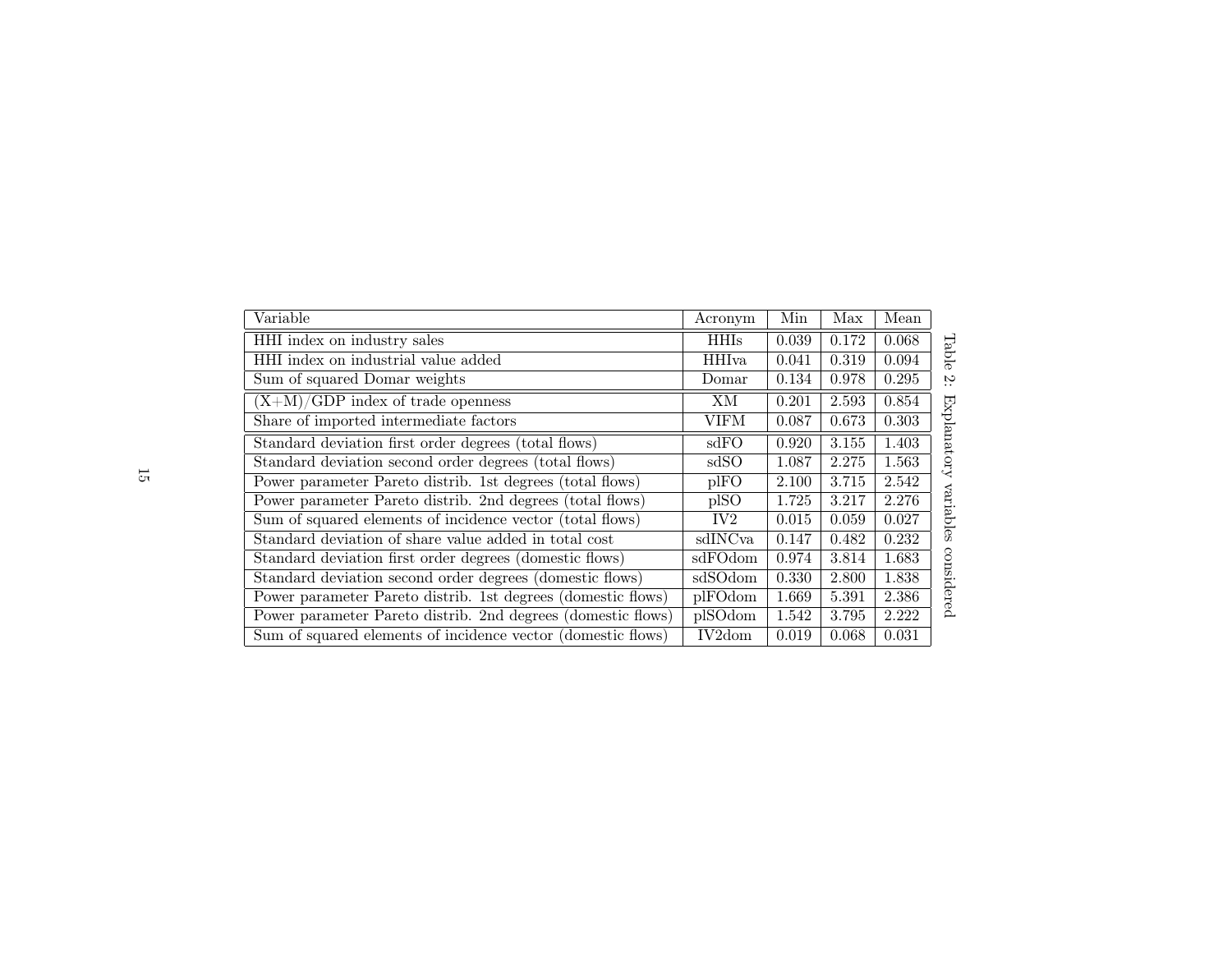| Variable                                                     | Acronym         | Min   | Max   | Mean  |                     |
|--------------------------------------------------------------|-----------------|-------|-------|-------|---------------------|
| HHI index on industry sales                                  | <b>HHIs</b>     | 0.039 | 0.172 | 0.068 |                     |
| HHI index on industrial value added                          | <b>HHIva</b>    | 0.041 | 0.319 | 0.094 | Table               |
| Sum of squared Domar weights                                 | Domar           | 0.134 | 0.978 | 0.295 | $\sim$<br>$\cdot$ . |
| $(X+M)/GDP$ index of trade openness                          | ΧM              | 0.201 | 2.593 | 0.854 |                     |
| Share of imported intermediate factors                       | VIFM            | 0.087 | 0.673 | 0.303 |                     |
| Standard deviation first order degrees (total flows)         | sdFO            | 0.920 | 3.155 | 1.403 | Explanatory         |
| Standard deviation second order degrees (total flows)        | sdSO            | 1.087 | 2.275 | 1.563 |                     |
| Power parameter Pareto distrib. 1st degrees (total flows)    | plFO            | 2.100 | 3.715 | 2.542 |                     |
| Power parameter Pareto distrib. 2nd degrees (total flows)    | plSO            | 1.725 | 3.217 | 2.276 | variables           |
| Sum of squared elements of incidence vector (total flows)    | IV <sub>2</sub> | 0.015 | 0.059 | 0.027 |                     |
| Standard deviation of share value added in total cost        | sdINCva         | 0.147 | 0.482 | 0.232 |                     |
| Standard deviation first order degrees (domestic flows)      | sdFOdom         | 0.974 | 3.814 | 1.683 |                     |
| Standard deviation second order degrees (domestic flows)     | sdSOdom         | 0.330 | 2.800 | 1.838 |                     |
| Power parameter Pareto distrib. 1st degrees (domestic flows) | plFOdom         | 1.669 | 5.391 | 2.386 | considered          |
| Power parameter Pareto distrib. 2nd degrees (domestic flows) | plSOdom         | 1.542 | 3.795 | 2.222 |                     |
| Sum of squared elements of incidence vector (domestic flows) | IV2dom          | 0.019 | 0.068 | 0.031 |                     |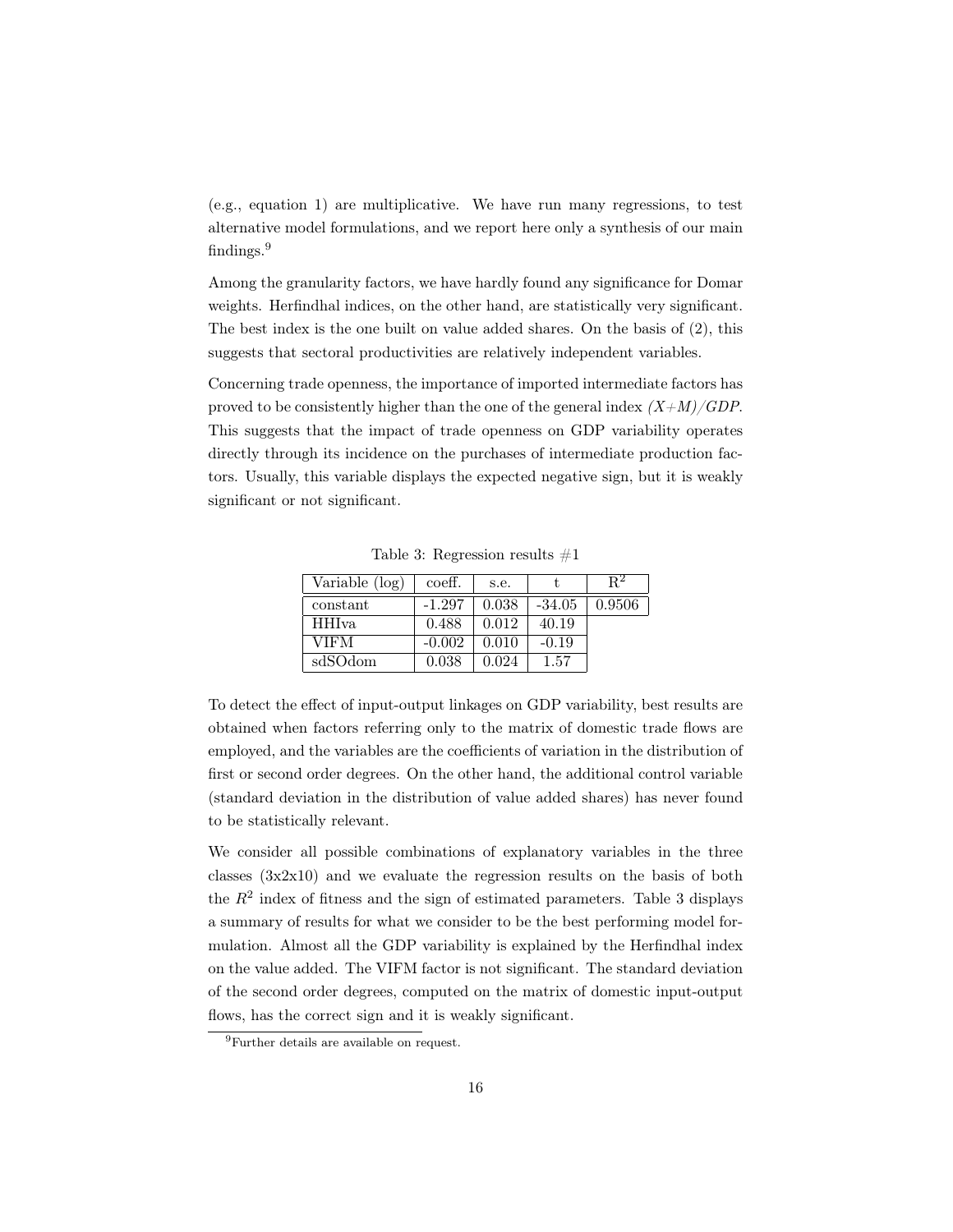(e.g., equation 1) are multiplicative. We have run many regressions, to test alternative model formulations, and we report here only a synthesis of our main findings.<sup>9</sup>

Among the granularity factors, we have hardly found any significance for Domar weights. Herfindhal indices, on the other hand, are statistically very significant. The best index is the one built on value added shares. On the basis of (2), this suggests that sectoral productivities are relatively independent variables.

Concerning trade openness, the importance of imported intermediate factors has proved to be consistently higher than the one of the general index  $(X+M)/GDP$ . This suggests that the impact of trade openness on GDP variability operates directly through its incidence on the purchases of intermediate production factors. Usually, this variable displays the expected negative sign, but it is weakly significant or not significant.

| Variable (log) | coeff.   | s.e.  |          | R2     |
|----------------|----------|-------|----------|--------|
| constant       | $-1.297$ | 0.038 | $-34.05$ | 0.9506 |
| <b>HHIva</b>   | 0.488    | 0.012 | 40.19    |        |
| <b>VIFM</b>    | $-0.002$ | 0.010 | $-0.19$  |        |
| sdSOdom        | 0.038    | 0.024 | 1.57     |        |

Table 3: Regression results  $#1$ 

To detect the effect of input-output linkages on GDP variability, best results are obtained when factors referring only to the matrix of domestic trade flows are employed, and the variables are the coefficients of variation in the distribution of first or second order degrees. On the other hand, the additional control variable (standard deviation in the distribution of value added shares) has never found to be statistically relevant.

We consider all possible combinations of explanatory variables in the three classes (3x2x10) and we evaluate the regression results on the basis of both the  $R<sup>2</sup>$  index of fitness and the sign of estimated parameters. Table 3 displays a summary of results for what we consider to be the best performing model formulation. Almost all the GDP variability is explained by the Herfindhal index on the value added. The VIFM factor is not significant. The standard deviation of the second order degrees, computed on the matrix of domestic input-output flows, has the correct sign and it is weakly significant.

<sup>9</sup>Further details are available on request.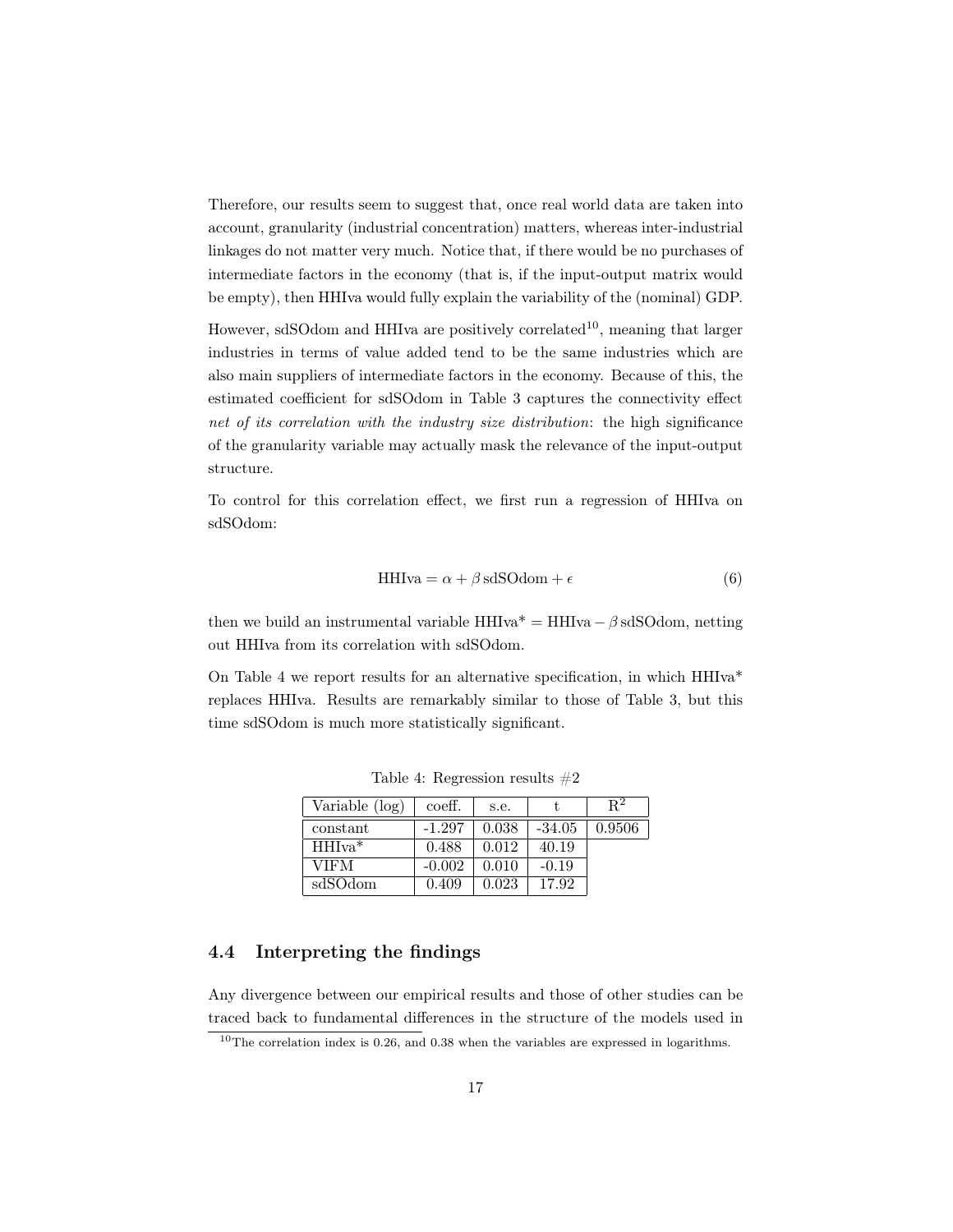Therefore, our results seem to suggest that, once real world data are taken into account, granularity (industrial concentration) matters, whereas inter-industrial linkages do not matter very much. Notice that, if there would be no purchases of intermediate factors in the economy (that is, if the input-output matrix would be empty), then HHIva would fully explain the variability of the (nominal) GDP.

However, sdSOdom and HHIva are positively correlated<sup>10</sup>, meaning that larger industries in terms of value added tend to be the same industries which are also main suppliers of intermediate factors in the economy. Because of this, the estimated coefficient for sdSOdom in Table 3 captures the connectivity effect net of its correlation with the industry size distribution: the high significance of the granularity variable may actually mask the relevance of the input-output structure.

To control for this correlation effect, we first run a regression of HHIva on sdSOdom:

$$
HHIva = \alpha + \beta \, sdSOdom + \epsilon \tag{6}
$$

then we build an instrumental variable  $HHIva^* = HHIva - \beta sdSOdom$ , netting out HHIva from its correlation with sdSOdom.

On Table 4 we report results for an alternative specification, in which HHIva\* replaces HHIva. Results are remarkably similar to those of Table 3, but this time sdSOdom is much more statistically significant.

| Variable (log) | coeff.   | s.e.  |          | R٤     |
|----------------|----------|-------|----------|--------|
| constant       | $-1.297$ | 0.038 | $-34.05$ | 0.9506 |
| $HHIva*$       | 0.488    | 0.012 | 40.19    |        |
| VIFM           | $-0.002$ | 0.010 | $-0.19$  |        |
| sdSOdom        | 0.409    | 0.023 | 17.92    |        |

Table 4: Regression results  $#2$ 

## 4.4 Interpreting the findings

Any divergence between our empirical results and those of other studies can be traced back to fundamental differences in the structure of the models used in

 $10$ The correlation index is 0.26, and 0.38 when the variables are expressed in logarithms.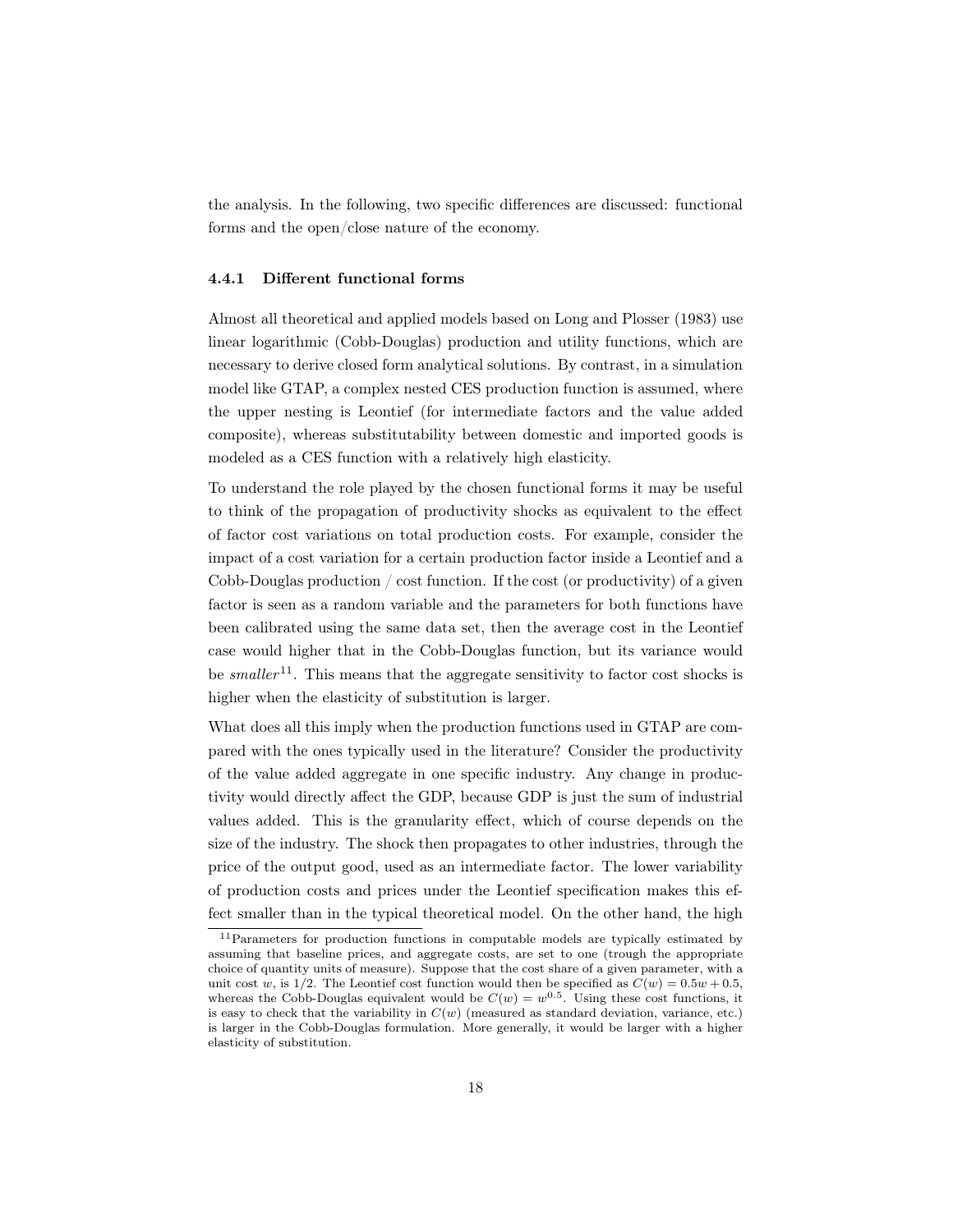the analysis. In the following, two specific differences are discussed: functional forms and the open/close nature of the economy.

#### 4.4.1 Different functional forms

Almost all theoretical and applied models based on Long and Plosser (1983) use linear logarithmic (Cobb-Douglas) production and utility functions, which are necessary to derive closed form analytical solutions. By contrast, in a simulation model like GTAP, a complex nested CES production function is assumed, where the upper nesting is Leontief (for intermediate factors and the value added composite), whereas substitutability between domestic and imported goods is modeled as a CES function with a relatively high elasticity.

To understand the role played by the chosen functional forms it may be useful to think of the propagation of productivity shocks as equivalent to the effect of factor cost variations on total production costs. For example, consider the impact of a cost variation for a certain production factor inside a Leontief and a Cobb-Douglas production / cost function. If the cost (or productivity) of a given factor is seen as a random variable and the parameters for both functions have been calibrated using the same data set, then the average cost in the Leontief case would higher that in the Cobb-Douglas function, but its variance would be smaller<sup>11</sup>. This means that the aggregate sensitivity to factor cost shocks is higher when the elasticity of substitution is larger.

What does all this imply when the production functions used in GTAP are compared with the ones typically used in the literature? Consider the productivity of the value added aggregate in one specific industry. Any change in productivity would directly affect the GDP, because GDP is just the sum of industrial values added. This is the granularity effect, which of course depends on the size of the industry. The shock then propagates to other industries, through the price of the output good, used as an intermediate factor. The lower variability of production costs and prices under the Leontief specification makes this effect smaller than in the typical theoretical model. On the other hand, the high

<sup>11</sup>Parameters for production functions in computable models are typically estimated by assuming that baseline prices, and aggregate costs, are set to one (trough the appropriate choice of quantity units of measure). Suppose that the cost share of a given parameter, with a unit cost w, is  $1/2$ . The Leontief cost function would then be specified as  $C(w)=0.5w + 0.5$ , whereas the Cobb-Douglas equivalent would be  $C(w) = w^{0.5}$ . Using these cost functions, it is easy to check that the variability in  $C(w)$  (measured as standard deviation, variance, etc.) is larger in the Cobb-Douglas formulation. More generally, it would be larger with a higher elasticity of substitution.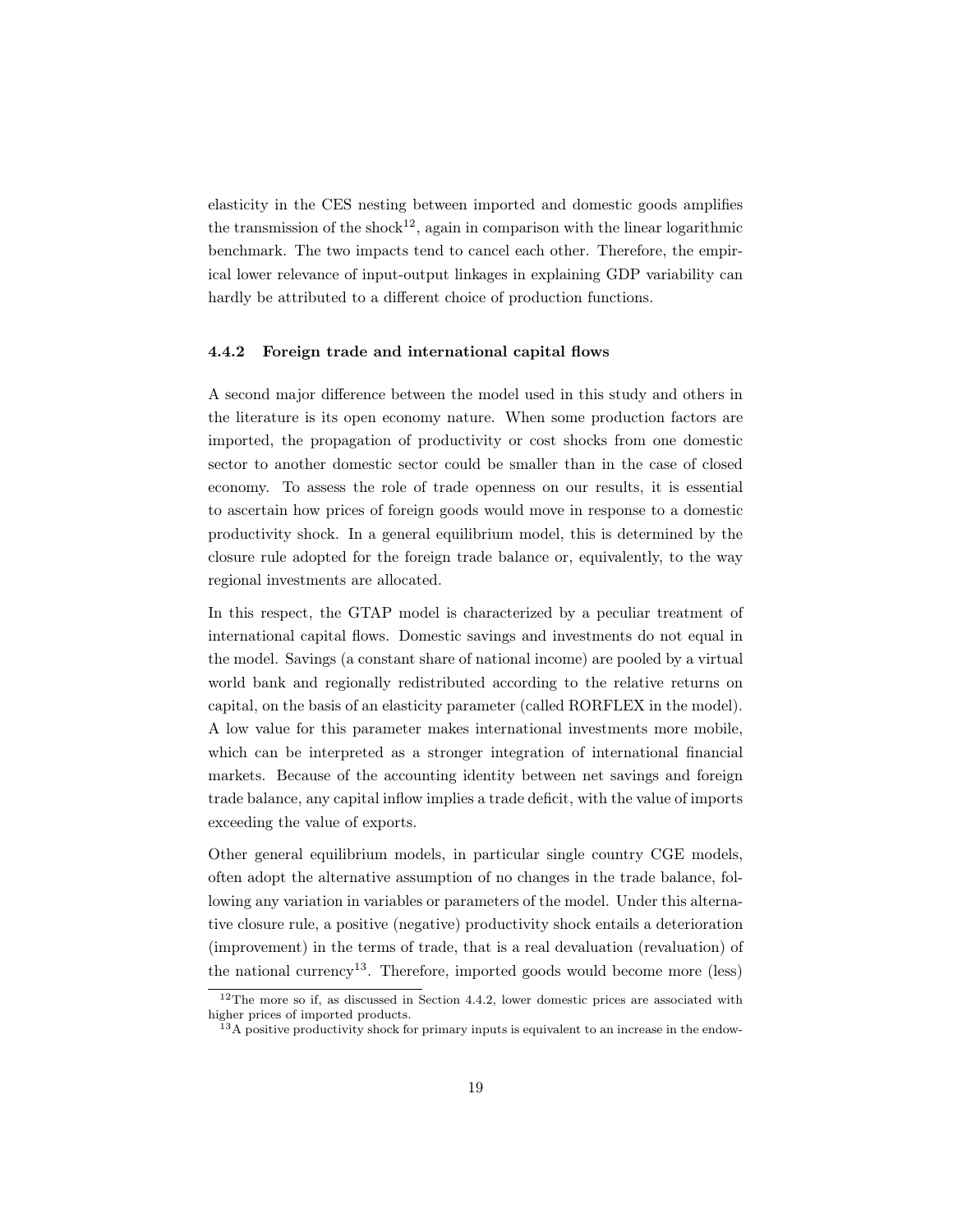elasticity in the CES nesting between imported and domestic goods amplifies the transmission of the shock<sup>12</sup>, again in comparison with the linear logarithmic benchmark. The two impacts tend to cancel each other. Therefore, the empirical lower relevance of input-output linkages in explaining GDP variability can hardly be attributed to a different choice of production functions.

#### 4.4.2 Foreign trade and international capital flows

A second major difference between the model used in this study and others in the literature is its open economy nature. When some production factors are imported, the propagation of productivity or cost shocks from one domestic sector to another domestic sector could be smaller than in the case of closed economy. To assess the role of trade openness on our results, it is essential to ascertain how prices of foreign goods would move in response to a domestic productivity shock. In a general equilibrium model, this is determined by the closure rule adopted for the foreign trade balance or, equivalently, to the way regional investments are allocated.

In this respect, the GTAP model is characterized by a peculiar treatment of international capital flows. Domestic savings and investments do not equal in the model. Savings (a constant share of national income) are pooled by a virtual world bank and regionally redistributed according to the relative returns on capital, on the basis of an elasticity parameter (called RORFLEX in the model). A low value for this parameter makes international investments more mobile, which can be interpreted as a stronger integration of international financial markets. Because of the accounting identity between net savings and foreign trade balance, any capital inflow implies a trade deficit, with the value of imports exceeding the value of exports.

Other general equilibrium models, in particular single country CGE models, often adopt the alternative assumption of no changes in the trade balance, following any variation in variables or parameters of the model. Under this alternative closure rule, a positive (negative) productivity shock entails a deterioration (improvement) in the terms of trade, that is a real devaluation (revaluation) of the national currency<sup>13</sup>. Therefore, imported goods would become more (less)

<sup>&</sup>lt;sup>12</sup>The more so if, as discussed in Section 4.4.2, lower domestic prices are associated with higher prices of imported products.

 $^{13}$ A positive productivity shock for primary inputs is equivalent to an increase in the endow-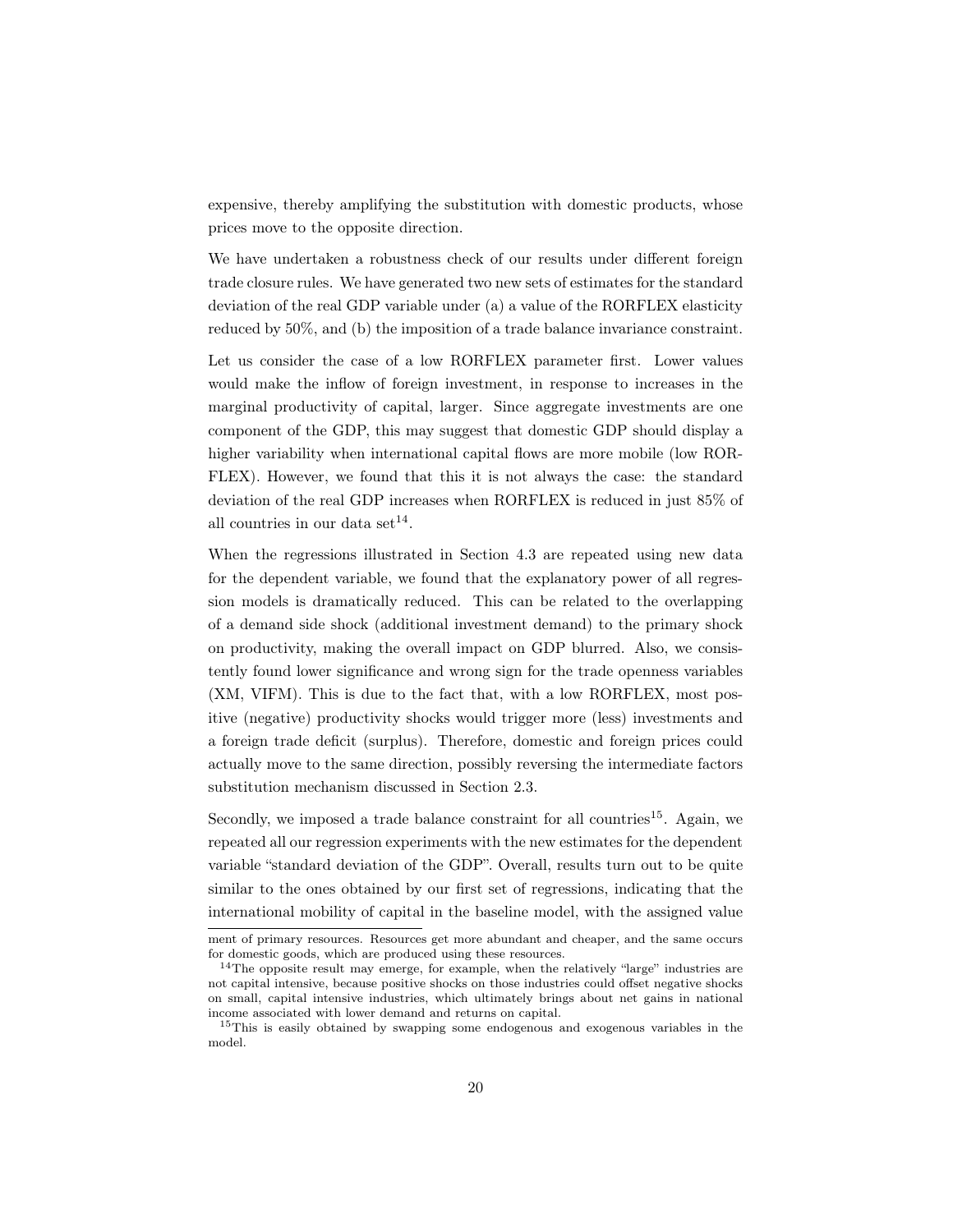expensive, thereby amplifying the substitution with domestic products, whose prices move to the opposite direction.

We have undertaken a robustness check of our results under different foreign trade closure rules. We have generated two new sets of estimates for the standard deviation of the real GDP variable under (a) a value of the RORFLEX elasticity reduced by 50%, and (b) the imposition of a trade balance invariance constraint.

Let us consider the case of a low RORFLEX parameter first. Lower values would make the inflow of foreign investment, in response to increases in the marginal productivity of capital, larger. Since aggregate investments are one component of the GDP, this may suggest that domestic GDP should display a higher variability when international capital flows are more mobile (low ROR-FLEX). However, we found that this it is not always the case: the standard deviation of the real GDP increases when RORFLEX is reduced in just 85% of all countries in our data set<sup>14</sup>.

When the regressions illustrated in Section 4.3 are repeated using new data for the dependent variable, we found that the explanatory power of all regression models is dramatically reduced. This can be related to the overlapping of a demand side shock (additional investment demand) to the primary shock on productivity, making the overall impact on GDP blurred. Also, we consistently found lower significance and wrong sign for the trade openness variables (XM, VIFM). This is due to the fact that, with a low RORFLEX, most positive (negative) productivity shocks would trigger more (less) investments and a foreign trade deficit (surplus). Therefore, domestic and foreign prices could actually move to the same direction, possibly reversing the intermediate factors substitution mechanism discussed in Section 2.3.

Secondly, we imposed a trade balance constraint for all countries<sup>15</sup>. Again, we repeated all our regression experiments with the new estimates for the dependent variable "standard deviation of the GDP". Overall, results turn out to be quite similar to the ones obtained by our first set of regressions, indicating that the international mobility of capital in the baseline model, with the assigned value

ment of primary resources. Resources get more abundant and cheaper, and the same occurs for domestic goods, which are produced using these resources.

<sup>&</sup>lt;sup>14</sup>The opposite result may emerge, for example, when the relatively "large" industries are not capital intensive, because positive shocks on those industries could offset negative shocks on small, capital intensive industries, which ultimately brings about net gains in national income associated with lower demand and returns on capital.

<sup>&</sup>lt;sup>15</sup>This is easily obtained by swapping some endogenous and exogenous variables in the model.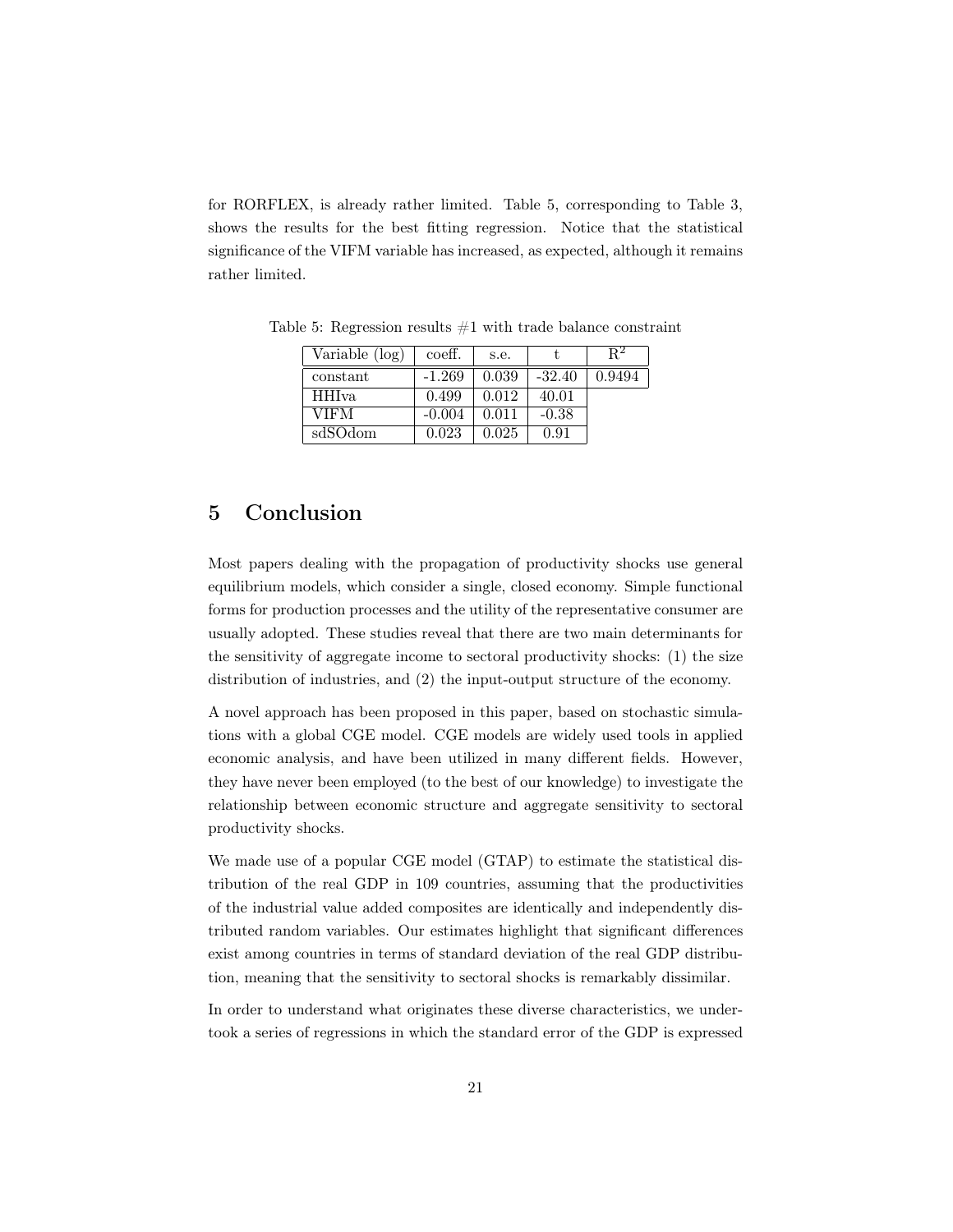for RORFLEX, is already rather limited. Table 5, corresponding to Table 3, shows the results for the best fitting regression. Notice that the statistical significance of the VIFM variable has increased, as expected, although it remains rather limited.

| Variable (log) | coeff.   | s.e.  |          | R٤     |
|----------------|----------|-------|----------|--------|
| constant       | $-1.269$ | 0.039 | $-32.40$ | 0.9494 |
| <b>HHIva</b>   | 0.499    | 0.012 | 40.01    |        |
| VIFM           | $-0.004$ | 0.011 | $-0.38$  |        |
| sdSOdom        | 0.023    | 0.025 | 0.91     |        |

Table 5: Regression results  $#1$  with trade balance constraint

# 5 Conclusion

Most papers dealing with the propagation of productivity shocks use general equilibrium models, which consider a single, closed economy. Simple functional forms for production processes and the utility of the representative consumer are usually adopted. These studies reveal that there are two main determinants for the sensitivity of aggregate income to sectoral productivity shocks: (1) the size distribution of industries, and (2) the input-output structure of the economy.

A novel approach has been proposed in this paper, based on stochastic simulations with a global CGE model. CGE models are widely used tools in applied economic analysis, and have been utilized in many different fields. However, they have never been employed (to the best of our knowledge) to investigate the relationship between economic structure and aggregate sensitivity to sectoral productivity shocks.

We made use of a popular CGE model (GTAP) to estimate the statistical distribution of the real GDP in 109 countries, assuming that the productivities of the industrial value added composites are identically and independently distributed random variables. Our estimates highlight that significant differences exist among countries in terms of standard deviation of the real GDP distribution, meaning that the sensitivity to sectoral shocks is remarkably dissimilar.

In order to understand what originates these diverse characteristics, we undertook a series of regressions in which the standard error of the GDP is expressed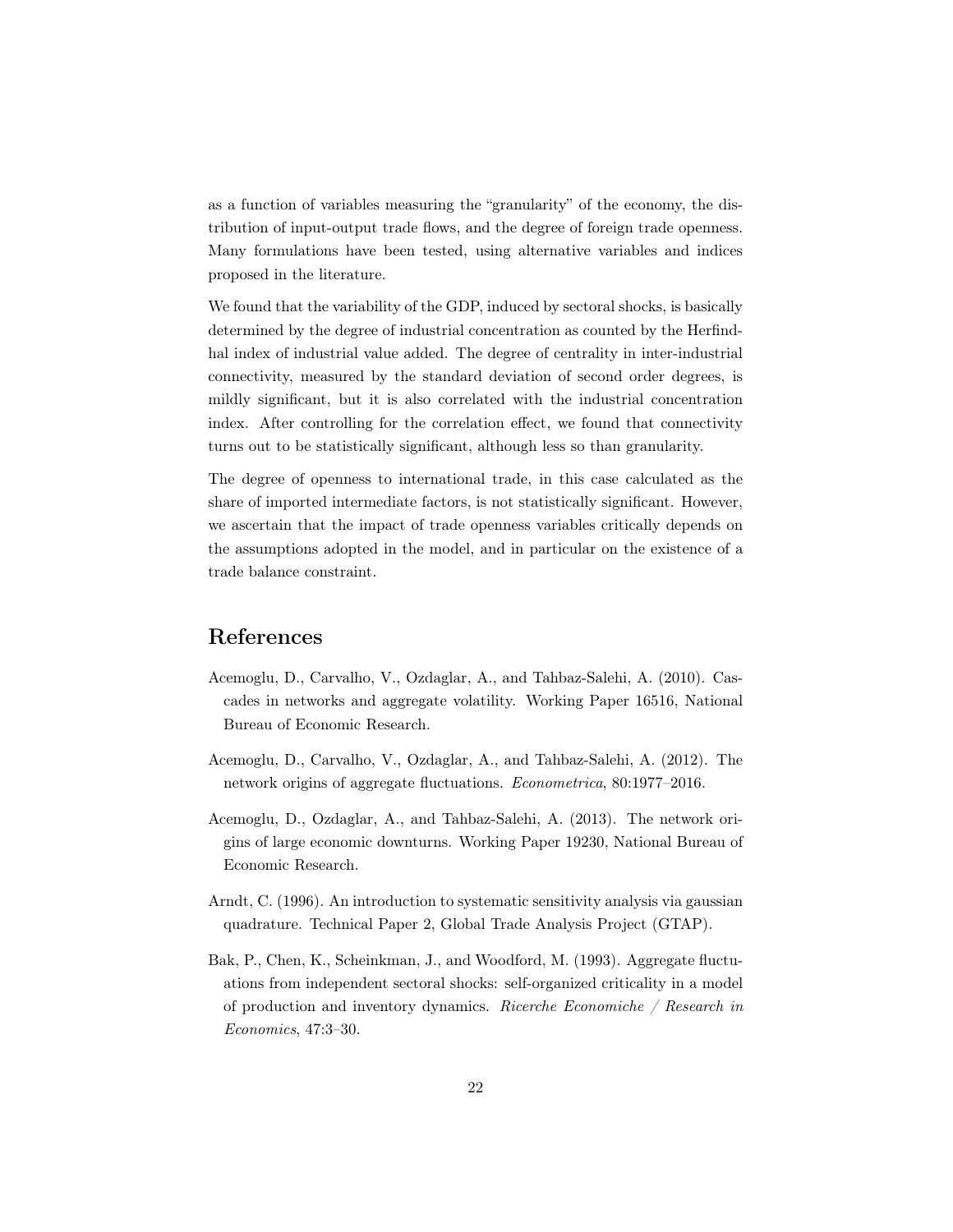as a function of variables measuring the "granularity" of the economy, the distribution of input-output trade flows, and the degree of foreign trade openness. Many formulations have been tested, using alternative variables and indices proposed in the literature.

We found that the variability of the GDP, induced by sectoral shocks, is basically determined by the degree of industrial concentration as counted by the Herfindhal index of industrial value added. The degree of centrality in inter-industrial connectivity, measured by the standard deviation of second order degrees, is mildly significant, but it is also correlated with the industrial concentration index. After controlling for the correlation effect, we found that connectivity turns out to be statistically significant, although less so than granularity.

The degree of openness to international trade, in this case calculated as the share of imported intermediate factors, is not statistically significant. However, we ascertain that the impact of trade openness variables critically depends on the assumptions adopted in the model, and in particular on the existence of a trade balance constraint.

# References

- Acemoglu, D., Carvalho, V., Ozdaglar, A., and Tahbaz-Salehi, A. (2010). Cascades in networks and aggregate volatility. Working Paper 16516, National Bureau of Economic Research.
- Acemoglu, D., Carvalho, V., Ozdaglar, A., and Tahbaz-Salehi, A. (2012). The network origins of aggregate fluctuations. Econometrica, 80:1977–2016.
- Acemoglu, D., Ozdaglar, A., and Tahbaz-Salehi, A. (2013). The network origins of large economic downturns. Working Paper 19230, National Bureau of Economic Research.
- Arndt, C. (1996). An introduction to systematic sensitivity analysis via gaussian quadrature. Technical Paper 2, Global Trade Analysis Project (GTAP).
- Bak, P., Chen, K., Scheinkman, J., and Woodford, M. (1993). Aggregate fluctuations from independent sectoral shocks: self-organized criticality in a model of production and inventory dynamics. Ricerche Economiche / Research in Economics, 47:3–30.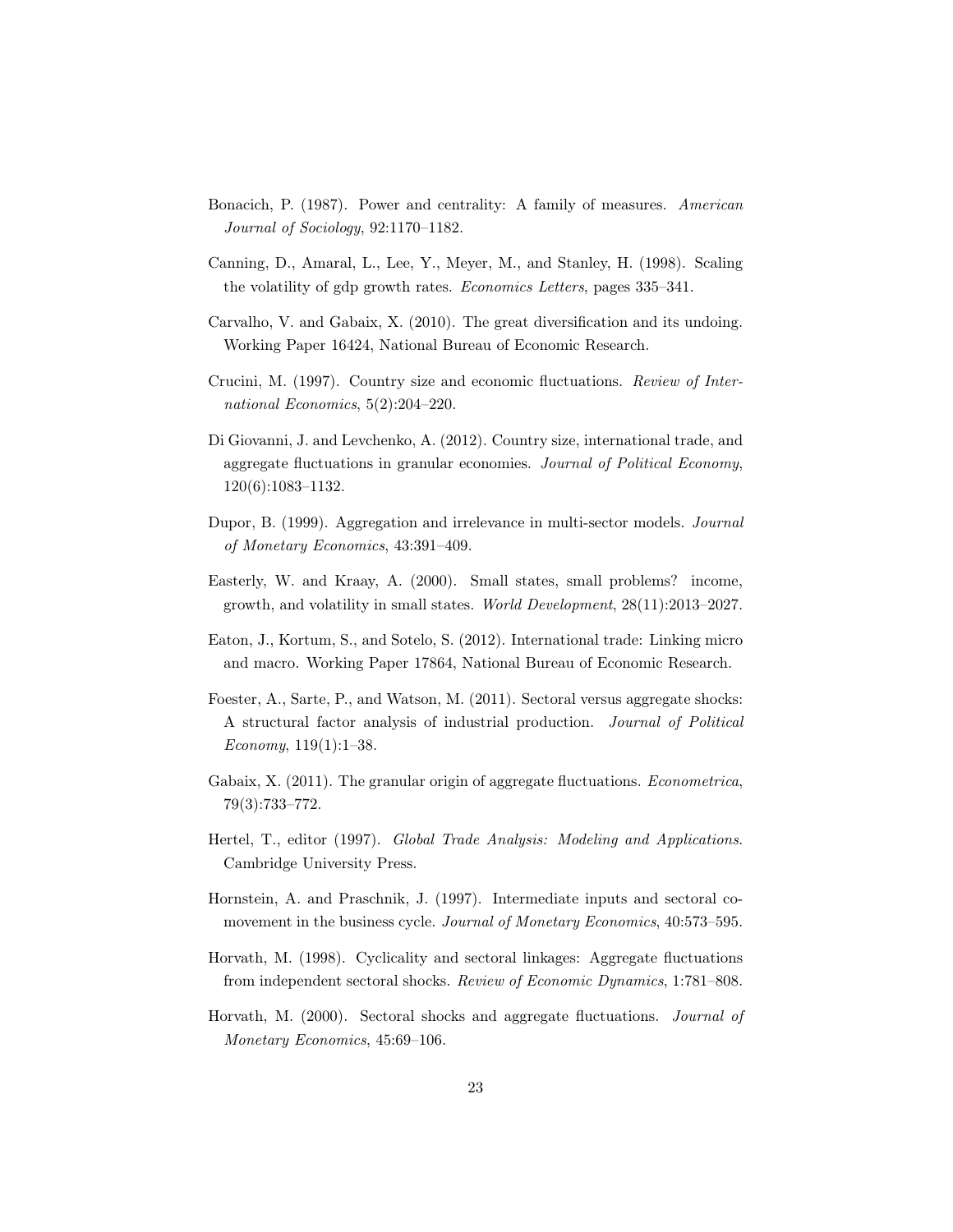- Bonacich, P. (1987). Power and centrality: A family of measures. American Journal of Sociology, 92:1170–1182.
- Canning, D., Amaral, L., Lee, Y., Meyer, M., and Stanley, H. (1998). Scaling the volatility of gdp growth rates. Economics Letters, pages 335–341.
- Carvalho, V. and Gabaix, X. (2010). The great diversification and its undoing. Working Paper 16424, National Bureau of Economic Research.
- Crucini, M. (1997). Country size and economic fluctuations. Review of International Economics, 5(2):204–220.
- Di Giovanni, J. and Levchenko, A. (2012). Country size, international trade, and aggregate fluctuations in granular economies. Journal of Political Economy, 120(6):1083–1132.
- Dupor, B. (1999). Aggregation and irrelevance in multi-sector models. Journal of Monetary Economics, 43:391–409.
- Easterly, W. and Kraay, A. (2000). Small states, small problems? income, growth, and volatility in small states. World Development, 28(11):2013–2027.
- Eaton, J., Kortum, S., and Sotelo, S. (2012). International trade: Linking micro and macro. Working Paper 17864, National Bureau of Economic Research.
- Foester, A., Sarte, P., and Watson, M. (2011). Sectoral versus aggregate shocks: A structural factor analysis of industrial production. Journal of Political Economy, 119(1):1–38.
- Gabaix, X. (2011). The granular origin of aggregate fluctuations. *Econometrica*, 79(3):733–772.
- Hertel, T., editor (1997). Global Trade Analysis: Modeling and Applications. Cambridge University Press.
- Hornstein, A. and Praschnik, J. (1997). Intermediate inputs and sectoral comovement in the business cycle. Journal of Monetary Economics, 40:573–595.
- Horvath, M. (1998). Cyclicality and sectoral linkages: Aggregate fluctuations from independent sectoral shocks. Review of Economic Dynamics, 1:781–808.
- Horvath, M. (2000). Sectoral shocks and aggregate fluctuations. Journal of Monetary Economics, 45:69–106.